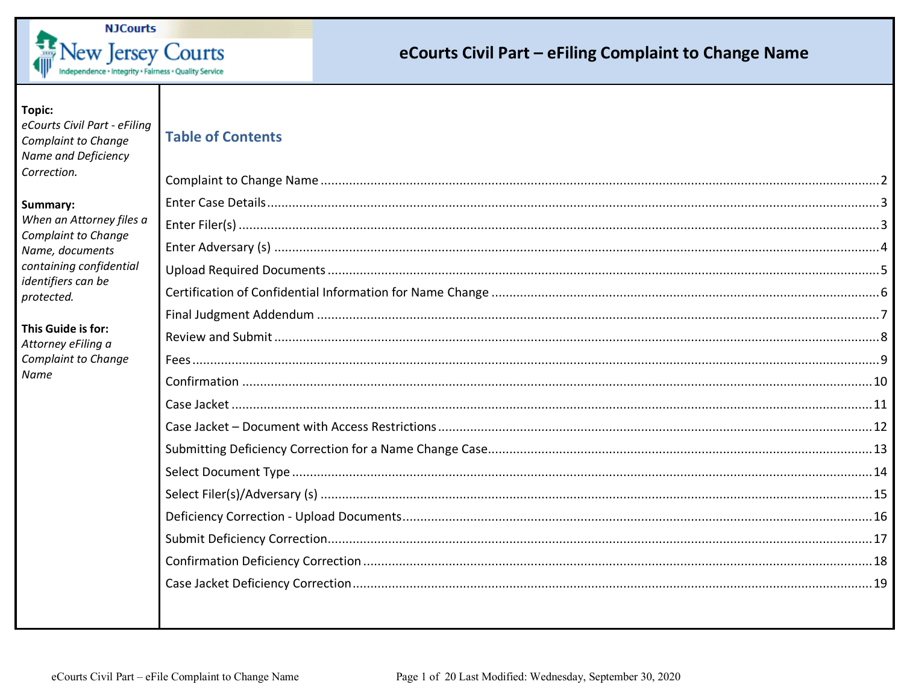

#### Topic:

eCourts Civil Part - eFiling Complaint to Change Name and Deficiency Correction.

#### Summary:

When an Attorne Complaint to Cha Name, document containing confid identifiers can be protected.

#### This Guide is for: Attorney eFiling a Complaint to Cha Name

|  |  | Table of Contents |
|--|--|-------------------|

| y files a      |  |
|----------------|--|
| inge<br>۰ς.    |  |
| <i>lential</i> |  |
|                |  |
|                |  |
|                |  |
| nge            |  |
|                |  |
|                |  |
|                |  |
|                |  |
|                |  |
|                |  |
|                |  |
|                |  |
|                |  |
|                |  |
|                |  |
|                |  |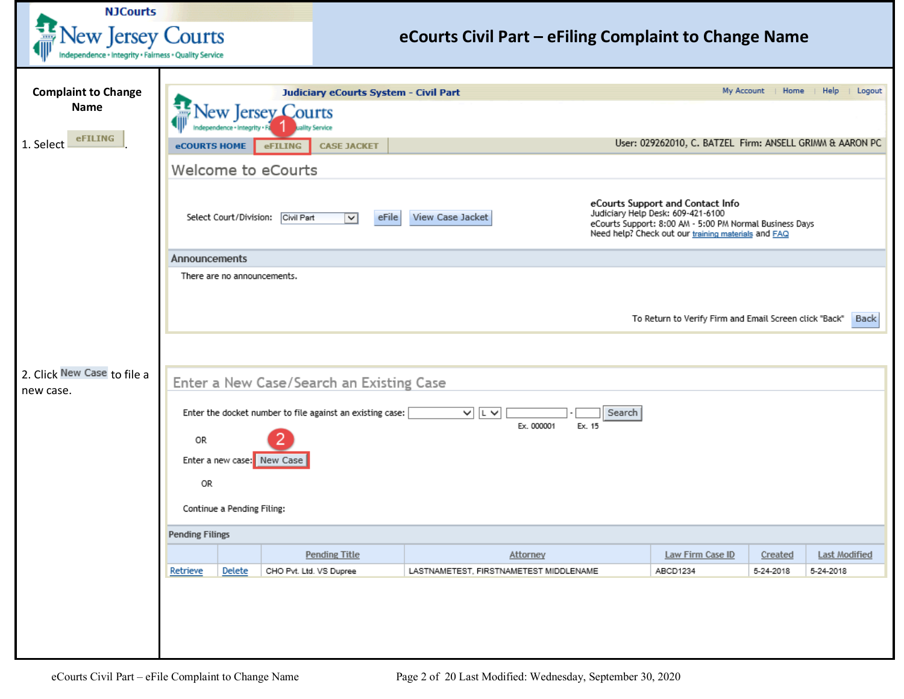<span id="page-1-0"></span>

| <b>NJCourts</b>                                                                  |                        |                                                                                                                                                                                                                                                                     |                                                           |                                                       |                                                    |                  |                                                          |                      |                                   |  |
|----------------------------------------------------------------------------------|------------------------|---------------------------------------------------------------------------------------------------------------------------------------------------------------------------------------------------------------------------------------------------------------------|-----------------------------------------------------------|-------------------------------------------------------|----------------------------------------------------|------------------|----------------------------------------------------------|----------------------|-----------------------------------|--|
| <b>Lew Jersey Courts</b><br>ndependence + Integrity + Fairness + Quality Service |                        |                                                                                                                                                                                                                                                                     |                                                           | eCourts Civil Part - eFiling Complaint to Change Name |                                                    |                  |                                                          |                      |                                   |  |
|                                                                                  |                        |                                                                                                                                                                                                                                                                     |                                                           |                                                       |                                                    |                  |                                                          |                      |                                   |  |
| <b>Complaint to Change</b>                                                       |                        |                                                                                                                                                                                                                                                                     | Judiciary eCourts System - Civil Part                     |                                                       |                                                    |                  | My Account                                               | Home                 | Help<br>Logout                    |  |
| <b>Name</b>                                                                      |                        |                                                                                                                                                                                                                                                                     | ew Jersey Courts                                          |                                                       |                                                    |                  |                                                          |                      |                                   |  |
|                                                                                  |                        |                                                                                                                                                                                                                                                                     | ality Service                                             |                                                       |                                                    |                  |                                                          |                      |                                   |  |
| <b>eFILING</b><br>1. Select                                                      | <b>eCOURTS HOME</b>    |                                                                                                                                                                                                                                                                     | <b>eFILING</b><br><b>CASE JACKET</b>                      |                                                       |                                                    |                  | User: 029262010, C. BATZEL Firm: ANSELL GRIMM & AARON PC |                      |                                   |  |
|                                                                                  |                        |                                                                                                                                                                                                                                                                     | Welcome to eCourts                                        |                                                       |                                                    |                  |                                                          |                      |                                   |  |
|                                                                                  |                        | eCourts Support and Contact Info<br>Judiciary Help Desk: 609-421-6100<br>Select Court/Division: Civil Part<br>eFile<br>View Case Jacket<br>$\vee$<br>eCourts Support: 8:00 AM - 5:00 PM Normal Business Days<br>Need help? Check out our training materials and FAQ |                                                           |                                                       |                                                    |                  |                                                          |                      |                                   |  |
|                                                                                  | Announcements          |                                                                                                                                                                                                                                                                     |                                                           |                                                       |                                                    |                  |                                                          |                      |                                   |  |
|                                                                                  |                        | There are no announcements.                                                                                                                                                                                                                                         |                                                           |                                                       |                                                    |                  |                                                          |                      |                                   |  |
|                                                                                  |                        |                                                                                                                                                                                                                                                                     |                                                           |                                                       |                                                    |                  |                                                          |                      |                                   |  |
|                                                                                  |                        |                                                                                                                                                                                                                                                                     |                                                           |                                                       |                                                    |                  | To Return to Verify Firm and Email Screen click "Back"   |                      | <b>Back</b>                       |  |
|                                                                                  |                        |                                                                                                                                                                                                                                                                     |                                                           |                                                       |                                                    |                  |                                                          |                      |                                   |  |
| 2. Click New Case to file a<br>new case.                                         |                        |                                                                                                                                                                                                                                                                     | Enter a New Case/Search an Existing Case                  |                                                       |                                                    |                  |                                                          |                      |                                   |  |
|                                                                                  |                        |                                                                                                                                                                                                                                                                     | Enter the docket number to file against an existing case: |                                                       | $\sqrt{L}$<br>Ex. 000001                           | Search<br>Ex. 15 |                                                          |                      |                                   |  |
|                                                                                  | 0R                     |                                                                                                                                                                                                                                                                     |                                                           |                                                       |                                                    |                  |                                                          |                      |                                   |  |
|                                                                                  |                        | Enter a new case: New Case                                                                                                                                                                                                                                          |                                                           |                                                       |                                                    |                  |                                                          |                      |                                   |  |
|                                                                                  | OR.                    |                                                                                                                                                                                                                                                                     |                                                           |                                                       |                                                    |                  |                                                          |                      |                                   |  |
|                                                                                  |                        | Continue a Pending Filing:                                                                                                                                                                                                                                          |                                                           |                                                       |                                                    |                  |                                                          |                      |                                   |  |
|                                                                                  | <b>Pending Filings</b> |                                                                                                                                                                                                                                                                     |                                                           |                                                       |                                                    |                  |                                                          |                      |                                   |  |
|                                                                                  |                        |                                                                                                                                                                                                                                                                     |                                                           |                                                       |                                                    |                  |                                                          |                      |                                   |  |
|                                                                                  | Retrieve               | Delete                                                                                                                                                                                                                                                              | <b>Pending Title</b><br>CHO Pvt. Ltd. VS Dupree           |                                                       | Attorney<br>LASTNAMETEST, FIRSTNAMETEST MIDDLENAME |                  | Law Firm Case ID<br>ABCD1234                             | Created<br>5-24-2018 | <b>Last Modified</b><br>5-24-2018 |  |
|                                                                                  |                        |                                                                                                                                                                                                                                                                     |                                                           |                                                       |                                                    |                  |                                                          |                      |                                   |  |
|                                                                                  |                        |                                                                                                                                                                                                                                                                     |                                                           |                                                       |                                                    |                  |                                                          |                      |                                   |  |
|                                                                                  |                        |                                                                                                                                                                                                                                                                     |                                                           |                                                       |                                                    |                  |                                                          |                      |                                   |  |
|                                                                                  |                        |                                                                                                                                                                                                                                                                     |                                                           |                                                       |                                                    |                  |                                                          |                      |                                   |  |
|                                                                                  |                        |                                                                                                                                                                                                                                                                     |                                                           |                                                       |                                                    |                  |                                                          |                      |                                   |  |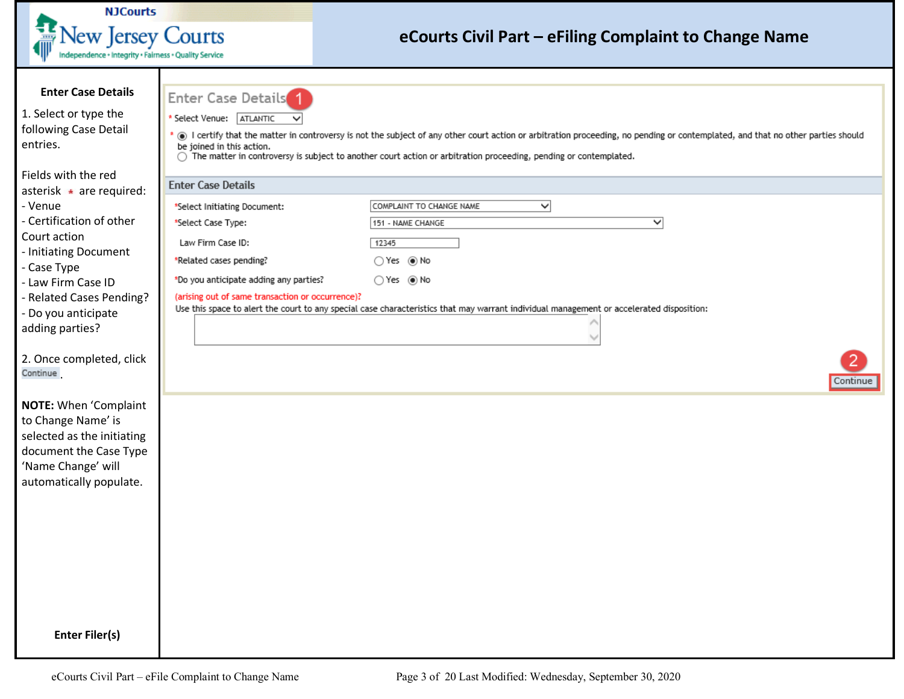<span id="page-2-1"></span><span id="page-2-0"></span>

| <b>NJCourts</b>                                                                                                                                                                                                           |                                                                                                                                                                                                                               |                                                                                                                                                                                                                                                                                                     |
|---------------------------------------------------------------------------------------------------------------------------------------------------------------------------------------------------------------------------|-------------------------------------------------------------------------------------------------------------------------------------------------------------------------------------------------------------------------------|-----------------------------------------------------------------------------------------------------------------------------------------------------------------------------------------------------------------------------------------------------------------------------------------------------|
| <b>New Jersey Courts</b><br>ndependence + Integrity + Fairness + Quality Service                                                                                                                                          |                                                                                                                                                                                                                               | eCourts Civil Part – eFiling Complaint to Change Name                                                                                                                                                                                                                                               |
| <b>Enter Case Details</b><br>1. Select or type the<br>following Case Detail<br>entries.<br>Fields with the red                                                                                                            | <b>Enter Case Details</b><br>* Select Venue: ATLANTIC<br>be joined in this action.<br>∩                                                                                                                                       | ⊙ I certify that the matter in controversy is not the subject of any other court action or arbitration proceeding, no pending or contemplated, and that no other parties should<br>The matter in controversy is subject to another court action or arbitration proceeding, pending or contemplated. |
| asterisk $\star$ are required:<br>- Venue<br>- Certification of other<br>Court action<br>- Initiating Document<br>- Case Type<br>- Law Firm Case ID<br>- Related Cases Pending?<br>- Do you anticipate<br>adding parties? | <b>Enter Case Details</b><br>*Select Initiating Document:<br>*Select Case Type:<br>Law Firm Case ID:<br>*Related cases pending?<br>*Do you anticipate adding any parties?<br>(arising out of same transaction or occurrence)? | COMPLAINT TO CHANGE NAME<br>∼∣<br>◡<br>151 - NAME CHANGE<br>12345<br>○Yes ◉ No<br>$\bigcirc$ Yes $\circledast$ No<br>Use this space to alert the court to any special case characteristics that may warrant individual management or accelerated disposition:                                       |
| 2. Once completed, click<br>Continue                                                                                                                                                                                      |                                                                                                                                                                                                                               | 2.<br>Continue                                                                                                                                                                                                                                                                                      |
| <b>NOTE:</b> When 'Complaint<br>to Change Name' is<br>selected as the initiating<br>document the Case Type<br>'Name Change' will<br>automatically populate.                                                               |                                                                                                                                                                                                                               |                                                                                                                                                                                                                                                                                                     |
| <b>Enter Filer(s)</b>                                                                                                                                                                                                     |                                                                                                                                                                                                                               |                                                                                                                                                                                                                                                                                                     |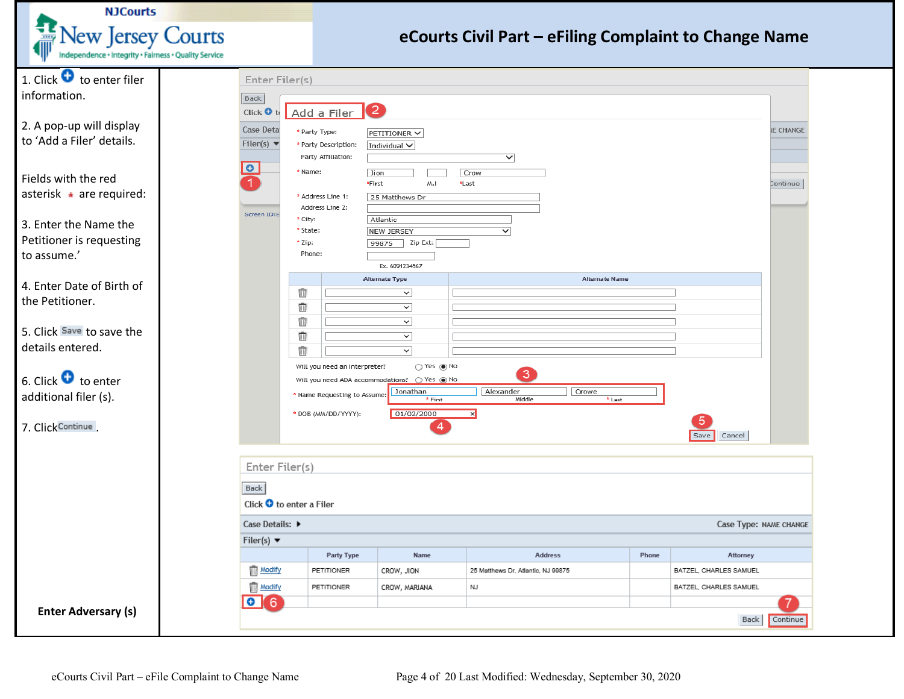<span id="page-3-0"></span>

| <b>NJCourts</b>                                                                                                                                                              |                                                                                                           |                                                                                                                                                                                            |                                                                                                                                                                                                                                             |                                                                      |       |                                    |                              |
|------------------------------------------------------------------------------------------------------------------------------------------------------------------------------|-----------------------------------------------------------------------------------------------------------|--------------------------------------------------------------------------------------------------------------------------------------------------------------------------------------------|---------------------------------------------------------------------------------------------------------------------------------------------------------------------------------------------------------------------------------------------|----------------------------------------------------------------------|-------|------------------------------------|------------------------------|
| <b>New Jersey Courts</b><br>Independence · Integrity · Fairness · Quality Service                                                                                            |                                                                                                           |                                                                                                                                                                                            |                                                                                                                                                                                                                                             | eCourts Civil Part - eFiling Complaint to Change Name                |       |                                    |                              |
| 1. Click $\bullet$ to enter filer<br>information.                                                                                                                            | Enter Filer(s)<br>Back                                                                                    |                                                                                                                                                                                            |                                                                                                                                                                                                                                             |                                                                      |       |                                    |                              |
| 2. A pop-up will display<br>to 'Add a Filer' details.<br>Fields with the red<br>asterisk • are required:<br>3. Enter the Name the<br>Petitioner is requesting<br>to assume.' | Click O to<br>Case Deta<br>Filer(s) $\blacktriangledown$<br>$\bullet$<br>Screen ID:E<br>* City:<br>* Zip: | $\left( 2\right)$<br>Add a Filer<br>* Party Type:<br>* Party Description:<br>Party Affiliation:<br>* Name:<br>Jion<br>*First<br>* Address Line 1:<br>Address Line 2:<br>* State:<br>Phone: | PETITIONER V<br>Individual $\vee$<br>M.I<br>25 Matthews Dr<br>Atlantic<br><b>NEW JERSEY</b><br>Zip Ext:<br>99875                                                                                                                            | $\checkmark$<br>Crow<br>*Last<br>$\overline{\mathsf{v}}$             |       |                                    | <b>IE CHANGE</b><br>Continue |
| 4. Enter Date of Birth of<br>the Petitioner.<br>5. Click Save to save the<br>details entered.<br>6. Click $\bullet$ to enter<br>additional filer (s).<br>7. Click Continue.  | Πī<br>Ŵ<br>Ū<br>Ŵ<br>Ŵ                                                                                    | Will you need an Interpreter?<br>* Name Requesting to Assume<br>* DOB (MM/DD/YYYY):                                                                                                        | Ex. 6091234567<br><b>Alternate Type</b><br>$\checkmark$<br>$\checkmark$<br>▽<br>$\checkmark$<br>◡<br>$\bigcirc$ Yes $\circledast$ No<br>Will you need ADA accommodations? O Yes @ No<br>Jonathan<br>* First<br>01/02/2000<br>$\overline{4}$ | <b>Alternate Name</b><br>3<br>Crowe<br>Alexander<br>Middle<br>* Last |       | Cancel<br>Save                     |                              |
|                                                                                                                                                                              | Enter Filer(s)<br>Back<br>Click $\bullet$ to enter a Filer<br>Case Details: ▶                             |                                                                                                                                                                                            |                                                                                                                                                                                                                                             |                                                                      |       | Case Type: NAME CHANGE             |                              |
|                                                                                                                                                                              | Filer(s) $\blacktriangledown$                                                                             |                                                                                                                                                                                            |                                                                                                                                                                                                                                             |                                                                      |       |                                    |                              |
|                                                                                                                                                                              | Modify                                                                                                    | Party Type<br>PETITIONER                                                                                                                                                                   | Name<br>CROW, JION                                                                                                                                                                                                                          | Address<br>25 Matthews Dr, Atlantic, NJ 99875                        | Phone | Attorney<br>BATZEL, CHARLES SAMUEL |                              |
|                                                                                                                                                                              | Modify                                                                                                    | PETITIONER                                                                                                                                                                                 | CROW, MARIANA                                                                                                                                                                                                                               | NJ                                                                   |       | BATZEL, CHARLES SAMUEL             |                              |
| <b>Enter Adversary (s)</b>                                                                                                                                                   | $\bullet$ 6                                                                                               |                                                                                                                                                                                            |                                                                                                                                                                                                                                             |                                                                      |       | Back                               | Continue                     |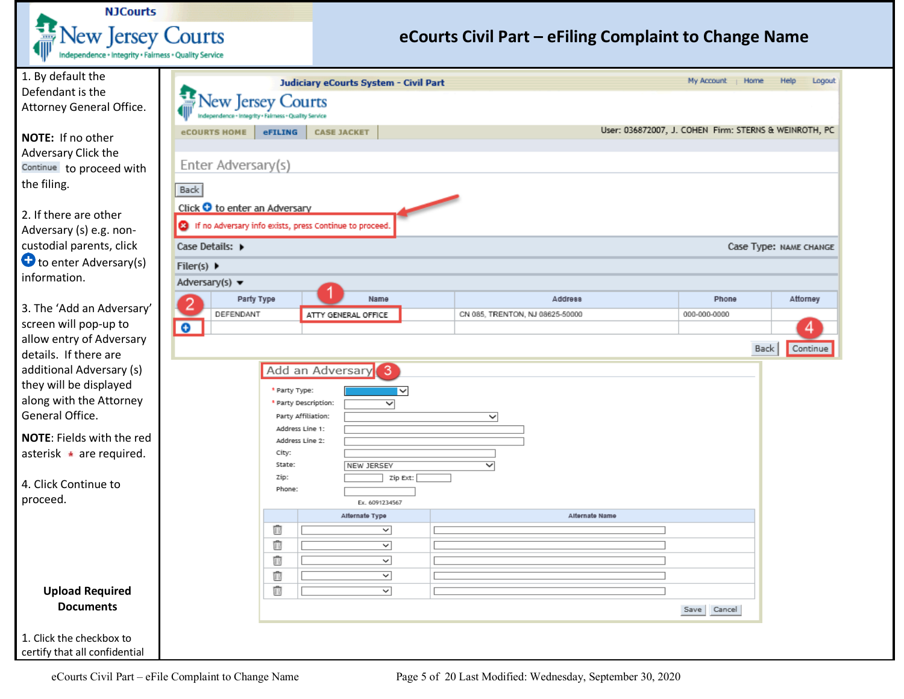

<span id="page-4-0"></span>

| 1. By default the                          |                                                                              |                |                                       | Judiciary eCourts System - Civil Part |                                 |                |                                                       | My Account   Home |                        | Help | Logout   |
|--------------------------------------------|------------------------------------------------------------------------------|----------------|---------------------------------------|---------------------------------------|---------------------------------|----------------|-------------------------------------------------------|-------------------|------------------------|------|----------|
| Defendant is the                           |                                                                              |                |                                       |                                       |                                 |                |                                                       |                   |                        |      |          |
| Attorney General Office.                   | <b>New Jersey Courts</b><br>endence · Integrity · Fairness · Quality Service |                |                                       |                                       |                                 |                |                                                       |                   |                        |      |          |
|                                            | eCOURTS HOME   eFILING                                                       |                | <b>CASE JACKET</b>                    |                                       |                                 |                | User: 036872007, J. COHEN Firm: STERNS & WEINROTH, PC |                   |                        |      |          |
| NOTE: If no other                          |                                                                              |                |                                       |                                       |                                 |                |                                                       |                   |                        |      |          |
| Adversary Click the                        |                                                                              |                |                                       |                                       |                                 |                |                                                       |                   |                        |      |          |
| Continue to proceed with                   | Enter Adversary(s)                                                           |                |                                       |                                       |                                 |                |                                                       |                   |                        |      |          |
| the filing.                                | Back                                                                         |                |                                       |                                       |                                 |                |                                                       |                   |                        |      |          |
|                                            | Click O to enter an Adversary                                                |                |                                       |                                       |                                 |                |                                                       |                   |                        |      |          |
| 2. If there are other                      | 8 If no Adversary info exists, press Continue to proceed.                    |                |                                       |                                       |                                 |                |                                                       |                   |                        |      |          |
| Adversary (s) e.g. non-                    |                                                                              |                |                                       |                                       |                                 |                |                                                       |                   |                        |      |          |
| custodial parents, click                   | Case Details: $\triangleright$                                               |                |                                       |                                       |                                 |                |                                                       |                   | Case Type: NAME CHANGE |      |          |
| to enter Adversary(s)                      | Filer(s) $\blacktriangleright$                                               |                |                                       |                                       |                                 |                |                                                       |                   |                        |      |          |
| information.                               | Adversary(s) $\blacktriangledown$                                            |                |                                       |                                       |                                 |                |                                                       |                   |                        |      |          |
|                                            | 2                                                                            | Party Type     |                                       | Name                                  |                                 | <b>Address</b> |                                                       | Phone             |                        |      | Attorney |
| 3. The 'Add an Adversary'                  | DEFENDANT                                                                    |                |                                       | ATTY GENERAL OFFICE                   | CN 085, TRENTON, NJ 08625-50000 |                |                                                       | 000-000-0000      |                        |      |          |
| screen will pop-up to                      | $\bullet$                                                                    |                |                                       |                                       |                                 |                |                                                       |                   |                        |      | 4        |
| allow entry of Adversary                   |                                                                              |                |                                       |                                       |                                 |                |                                                       |                   | Back                   |      | Continue |
| details. If there are                      |                                                                              |                |                                       |                                       |                                 |                |                                                       |                   |                        |      |          |
| additional Adversary (s)                   |                                                                              |                |                                       | Add an Adversary <sup>8</sup>         |                                 |                |                                                       |                   |                        |      |          |
| they will be displayed                     |                                                                              | * Party Type:  |                                       | $\overline{\phantom{1}}$              |                                 |                |                                                       |                   |                        |      |          |
| along with the Attorney<br>General Office. |                                                                              |                | * Party Description:                  | ▽                                     |                                 |                |                                                       |                   |                        |      |          |
|                                            |                                                                              |                | Party Affiliation:<br>Address Line 1: |                                       | ◡                               |                |                                                       |                   |                        |      |          |
| NOTE: Fields with the red                  |                                                                              |                | Address Line 2:                       |                                       |                                 |                |                                                       |                   |                        |      |          |
| asterisk • are required.                   |                                                                              | City:          |                                       |                                       |                                 |                |                                                       |                   |                        |      |          |
|                                            |                                                                              | State:<br>Zip: |                                       | <b>NEW JERSEY</b>                     | ▽                               |                |                                                       |                   |                        |      |          |
| 4. Click Continue to                       |                                                                              | Phone:         |                                       | Zip Ext:                              |                                 |                |                                                       |                   |                        |      |          |
| proceed.                                   |                                                                              |                |                                       | Ex. 6091234567                        |                                 |                |                                                       |                   |                        |      |          |
|                                            |                                                                              |                |                                       | Alternate Type                        |                                 | Alternate Name |                                                       |                   |                        |      |          |
|                                            |                                                                              | û              |                                       | $\overline{\phantom{0}}$              |                                 |                |                                                       |                   |                        |      |          |
|                                            |                                                                              | û              |                                       | $\overline{\phantom{0}}$              |                                 |                |                                                       |                   |                        |      |          |
|                                            |                                                                              | Ŵ              |                                       | ◡                                     |                                 |                |                                                       |                   |                        |      |          |
|                                            |                                                                              | Ŵ              |                                       | び                                     |                                 |                |                                                       |                   |                        |      |          |
| <b>Upload Required</b>                     |                                                                              | û              |                                       | ▽                                     |                                 |                |                                                       |                   |                        |      |          |
| <b>Documents</b>                           |                                                                              |                |                                       |                                       |                                 |                |                                                       | Save Cancel       |                        |      |          |
|                                            |                                                                              |                |                                       |                                       |                                 |                |                                                       |                   |                        |      |          |
| 1. Click the checkbox to                   |                                                                              |                |                                       |                                       |                                 |                |                                                       |                   |                        |      |          |
| certify that all confidential              |                                                                              |                |                                       |                                       |                                 |                |                                                       |                   |                        |      |          |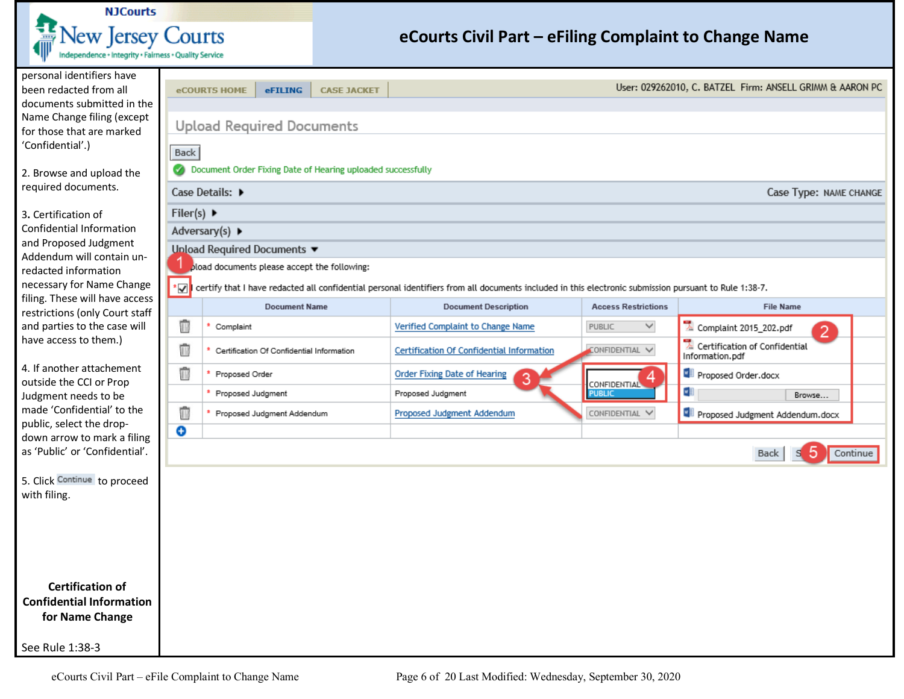

<span id="page-5-0"></span>

| personal identifiers have<br>been redacted from all         |                                                                                | <b>CASE JACKET</b><br><b>eCOURTS HOME</b><br><b>eFILING</b> |                                                                                                                                                       |                            | User: 029262010, C. BATZEL Firm: ANSELL GRIMM & AARON PC   |  |  |  |  |  |  |  |  |  |
|-------------------------------------------------------------|--------------------------------------------------------------------------------|-------------------------------------------------------------|-------------------------------------------------------------------------------------------------------------------------------------------------------|----------------------------|------------------------------------------------------------|--|--|--|--|--|--|--|--|--|
| documents submitted in the                                  |                                                                                |                                                             |                                                                                                                                                       |                            |                                                            |  |  |  |  |  |  |  |  |  |
| Name Change filing (except<br>for those that are marked     | <b>Upload Required Documents</b>                                               |                                                             |                                                                                                                                                       |                            |                                                            |  |  |  |  |  |  |  |  |  |
| 'Confidential'.)                                            |                                                                                | Back                                                        |                                                                                                                                                       |                            |                                                            |  |  |  |  |  |  |  |  |  |
|                                                             |                                                                                |                                                             |                                                                                                                                                       |                            |                                                            |  |  |  |  |  |  |  |  |  |
| 2. Browse and upload the<br>required documents.             | Document Order Fixing Date of Hearing uploaded successfully<br>Case Details: ▶ |                                                             |                                                                                                                                                       |                            |                                                            |  |  |  |  |  |  |  |  |  |
|                                                             |                                                                                |                                                             |                                                                                                                                                       |                            | Case Type: NAME CHANGE                                     |  |  |  |  |  |  |  |  |  |
| 3. Certification of                                         | Filer(s) $\blacktriangleright$                                                 |                                                             |                                                                                                                                                       |                            |                                                            |  |  |  |  |  |  |  |  |  |
| Confidential Information<br>and Proposed Judgment           |                                                                                | Adversary(s) ▶                                              |                                                                                                                                                       |                            |                                                            |  |  |  |  |  |  |  |  |  |
| Addendum will contain un-                                   |                                                                                | <b>Unload Required Documents ▼</b>                          |                                                                                                                                                       |                            |                                                            |  |  |  |  |  |  |  |  |  |
| redacted information                                        |                                                                                | pload documents please accept the following:                |                                                                                                                                                       |                            |                                                            |  |  |  |  |  |  |  |  |  |
| necessary for Name Change<br>filing. These will have access | ∗⊠I                                                                            |                                                             | certify that I have redacted all confidential personal identifiers from all documents included in this electronic submission pursuant to Rule 1:38-7. |                            |                                                            |  |  |  |  |  |  |  |  |  |
| restrictions (only Court staff                              |                                                                                | <b>Document Name</b>                                        | <b>Document Description</b>                                                                                                                           | <b>Access Restrictions</b> | <b>File Name</b>                                           |  |  |  |  |  |  |  |  |  |
| and parties to the case will                                | Ť                                                                              | Complaint                                                   | Verified Complaint to Change Name                                                                                                                     | $\checkmark$<br>PUBLIC     | Complaint 2015_202.pdf<br>$\overline{2}$                   |  |  |  |  |  |  |  |  |  |
| have access to them.)                                       | ú                                                                              | Certification Of Confidential Information                   | <b>Certification Of Confidential Information</b>                                                                                                      | CONFIDENTIAL V             | $\lambda$ Certification of Confidential<br>Information.pdf |  |  |  |  |  |  |  |  |  |
| 4. If another attachement<br>outside the CCI or Prop        | û                                                                              | * Proposed Order                                            | <b>Order Fixing Date of Hearing</b><br>3                                                                                                              | 4<br><b>CONFIDENTIAL</b>   | Proposed Order.docx                                        |  |  |  |  |  |  |  |  |  |
| Judgment needs to be                                        |                                                                                | * Proposed Judgment                                         | Proposed Judgment                                                                                                                                     | <b>PUBLIC</b>              | ⊶∎<br>Browse                                               |  |  |  |  |  |  |  |  |  |
| made 'Confidential' to the                                  | û                                                                              | * Proposed Judgment Addendum                                | Proposed Judgment Addendum                                                                                                                            | CONFIDENTIAL V             | Proposed Judgment Addendum.docx                            |  |  |  |  |  |  |  |  |  |
| public, select the drop-<br>down arrow to mark a filing     | ⊖                                                                              |                                                             |                                                                                                                                                       |                            |                                                            |  |  |  |  |  |  |  |  |  |
| as 'Public' or 'Confidential'.                              |                                                                                |                                                             |                                                                                                                                                       |                            | 5<br>Back<br>Continue                                      |  |  |  |  |  |  |  |  |  |
| 5. Click Continue to proceed                                |                                                                                |                                                             |                                                                                                                                                       |                            |                                                            |  |  |  |  |  |  |  |  |  |
| with filing.                                                |                                                                                |                                                             |                                                                                                                                                       |                            |                                                            |  |  |  |  |  |  |  |  |  |
|                                                             |                                                                                |                                                             |                                                                                                                                                       |                            |                                                            |  |  |  |  |  |  |  |  |  |
|                                                             |                                                                                |                                                             |                                                                                                                                                       |                            |                                                            |  |  |  |  |  |  |  |  |  |
|                                                             |                                                                                |                                                             |                                                                                                                                                       |                            |                                                            |  |  |  |  |  |  |  |  |  |
|                                                             |                                                                                |                                                             |                                                                                                                                                       |                            |                                                            |  |  |  |  |  |  |  |  |  |
| <b>Certification of</b>                                     |                                                                                |                                                             |                                                                                                                                                       |                            |                                                            |  |  |  |  |  |  |  |  |  |
| <b>Confidential Information</b>                             |                                                                                |                                                             |                                                                                                                                                       |                            |                                                            |  |  |  |  |  |  |  |  |  |
| for Name Change                                             |                                                                                |                                                             |                                                                                                                                                       |                            |                                                            |  |  |  |  |  |  |  |  |  |
| See Rule 1:38-3                                             |                                                                                |                                                             |                                                                                                                                                       |                            |                                                            |  |  |  |  |  |  |  |  |  |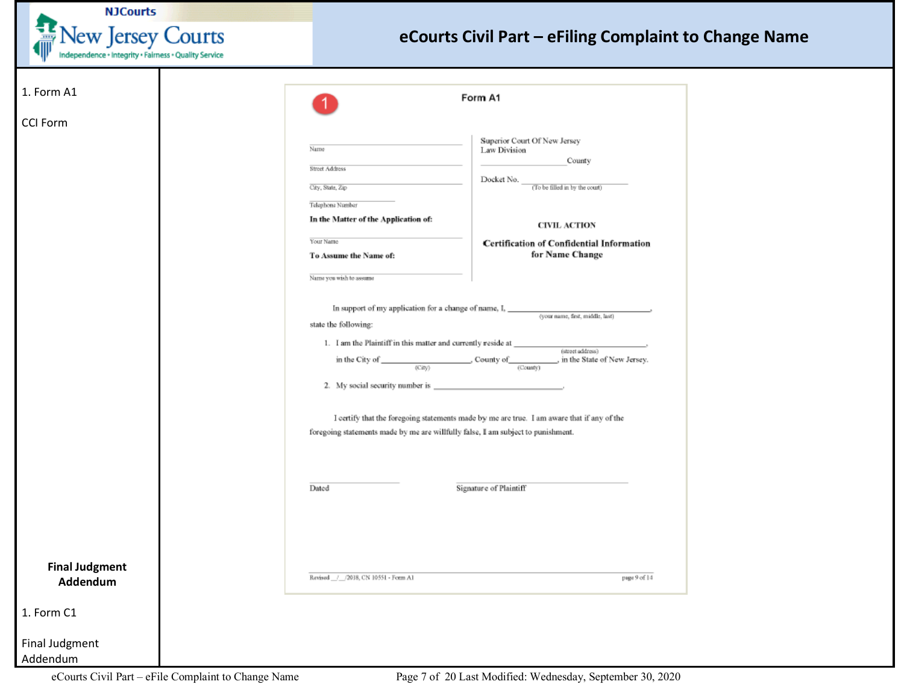

<span id="page-6-0"></span>

| 1. Form A1            |                                                                                  | Form A1                                                                                                                          |
|-----------------------|----------------------------------------------------------------------------------|----------------------------------------------------------------------------------------------------------------------------------|
| <b>CCI Form</b>       |                                                                                  |                                                                                                                                  |
|                       | Name                                                                             | Superior Court Of New Jersey<br>Law Division                                                                                     |
|                       | Street Address                                                                   | County                                                                                                                           |
|                       |                                                                                  | Docket No. $\_$                                                                                                                  |
|                       | City, State, Zip                                                                 | (To be filled in by the court)                                                                                                   |
|                       | Telephone Number                                                                 |                                                                                                                                  |
|                       | In the Matter of the Application of:                                             | <b>CIVIL ACTION</b>                                                                                                              |
|                       | Your Name                                                                        | Certification of Confidential Information                                                                                        |
|                       | To Assume the Name of:                                                           | for Name Change                                                                                                                  |
|                       | Name you wish to assume                                                          |                                                                                                                                  |
|                       |                                                                                  |                                                                                                                                  |
|                       |                                                                                  | In support of my application for a change of name, ${\rm I, \_\_}$ . We arme, first, middle, last)                               |
|                       | state the following:                                                             |                                                                                                                                  |
|                       |                                                                                  |                                                                                                                                  |
|                       |                                                                                  | 1. I am the Plaintiff in this matter and currently reside at $\underbrace{\hspace{2cm}}_{\text{(street address)}}$               |
|                       |                                                                                  | in the City of $\frac{\text{Cary}}{\text{(Cary)}}$ County of $\frac{\text{Cary}}{\text{(Courly)}}$ , in the State of New Jersey. |
|                       |                                                                                  |                                                                                                                                  |
|                       |                                                                                  |                                                                                                                                  |
|                       |                                                                                  |                                                                                                                                  |
|                       |                                                                                  | I certify that the foregoing statements made by me are true. I am aware that if any of the                                       |
|                       | foregoing statements made by me are willfully false, I am subject to punishment. |                                                                                                                                  |
|                       |                                                                                  |                                                                                                                                  |
|                       |                                                                                  |                                                                                                                                  |
|                       | Dated                                                                            | Signature of Plaintiff                                                                                                           |
|                       |                                                                                  |                                                                                                                                  |
|                       |                                                                                  |                                                                                                                                  |
|                       |                                                                                  |                                                                                                                                  |
|                       |                                                                                  |                                                                                                                                  |
| <b>Final Judgment</b> |                                                                                  |                                                                                                                                  |
| Addendum              | Ravised / 2018, CN 10551 - Form A1                                               | page 9 of 14                                                                                                                     |
|                       |                                                                                  |                                                                                                                                  |
| 1. Form C1            |                                                                                  |                                                                                                                                  |
|                       |                                                                                  |                                                                                                                                  |
|                       |                                                                                  |                                                                                                                                  |
|                       |                                                                                  |                                                                                                                                  |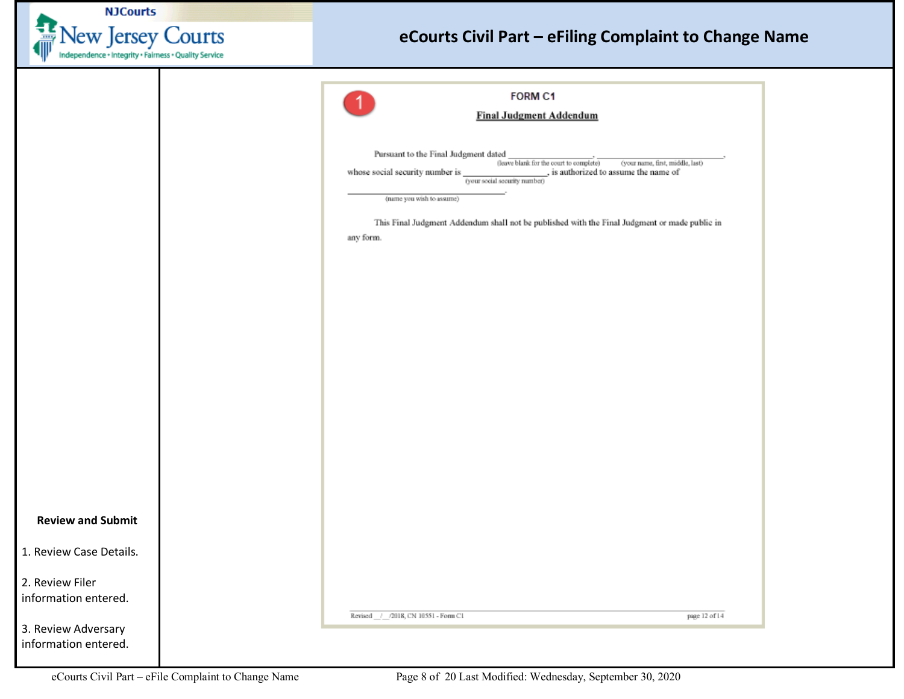|  | <b>NJCourts</b> |                   |
|--|-----------------|-------------------|
|  |                 | New Jersey Courts |

<span id="page-7-0"></span>

|                                             | <b>FORM C1</b>                                                                                                                                                                                               |
|---------------------------------------------|--------------------------------------------------------------------------------------------------------------------------------------------------------------------------------------------------------------|
|                                             |                                                                                                                                                                                                              |
|                                             | <b>Final Judgment Addendum</b>                                                                                                                                                                               |
|                                             | Pursuant to the Final Judgment dated                                                                                                                                                                         |
|                                             | (leave blank for the court to complete)<br>(your name, first, middle, last)<br>whose social security number is $\frac{1}{\text{``(your social security number)}},$<br>_, is authorized to assume the name of |
|                                             | (name you wish to assume)                                                                                                                                                                                    |
|                                             | This Final Judgment Addendum shall not be published with the Final Judgment or made public in                                                                                                                |
|                                             | any form.                                                                                                                                                                                                    |
|                                             |                                                                                                                                                                                                              |
|                                             |                                                                                                                                                                                                              |
|                                             |                                                                                                                                                                                                              |
|                                             |                                                                                                                                                                                                              |
|                                             |                                                                                                                                                                                                              |
|                                             |                                                                                                                                                                                                              |
|                                             |                                                                                                                                                                                                              |
|                                             |                                                                                                                                                                                                              |
|                                             |                                                                                                                                                                                                              |
|                                             |                                                                                                                                                                                                              |
|                                             |                                                                                                                                                                                                              |
|                                             |                                                                                                                                                                                                              |
|                                             |                                                                                                                                                                                                              |
|                                             |                                                                                                                                                                                                              |
|                                             |                                                                                                                                                                                                              |
|                                             |                                                                                                                                                                                                              |
|                                             |                                                                                                                                                                                                              |
|                                             | page 12 of 14<br>Revised / /2018, CN 10551 - Form C1                                                                                                                                                         |
| 3. Review Adversary<br>information entered. |                                                                                                                                                                                                              |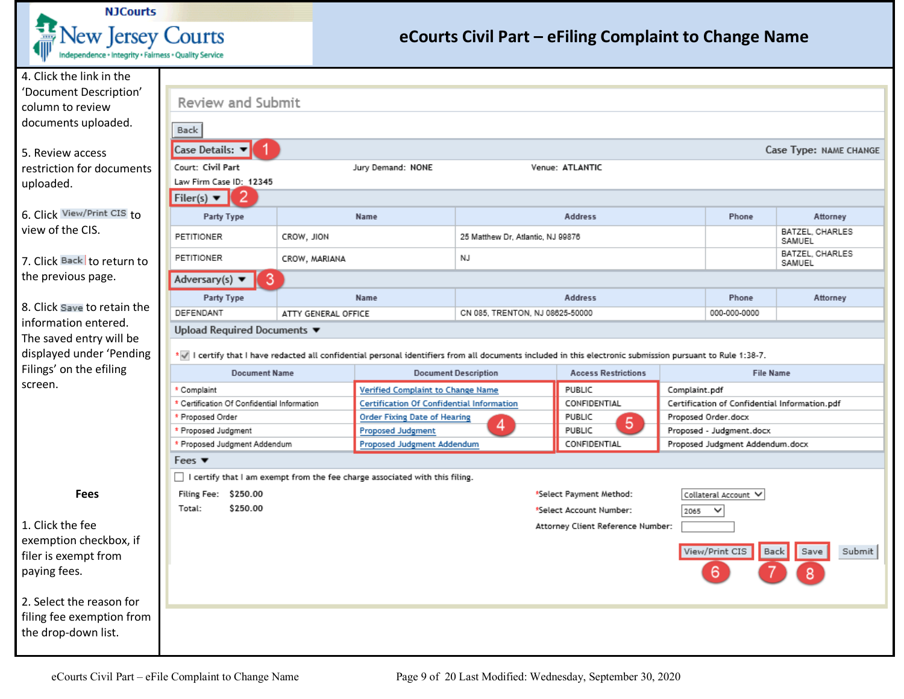

<span id="page-8-0"></span>

| 4. Click the link in the                        |                                                                                                                                                            |                     |                                                                             |                                   |                                   |      |                                               |                           |  |  |  |
|-------------------------------------------------|------------------------------------------------------------------------------------------------------------------------------------------------------------|---------------------|-----------------------------------------------------------------------------|-----------------------------------|-----------------------------------|------|-----------------------------------------------|---------------------------|--|--|--|
| 'Document Description'                          | Review and Submit                                                                                                                                          |                     |                                                                             |                                   |                                   |      |                                               |                           |  |  |  |
| column to review                                |                                                                                                                                                            |                     |                                                                             |                                   |                                   |      |                                               |                           |  |  |  |
| documents uploaded.                             | Back                                                                                                                                                       |                     |                                                                             |                                   |                                   |      |                                               |                           |  |  |  |
| 5. Review access                                | Case Details: $\blacktriangledown$                                                                                                                         |                     |                                                                             |                                   |                                   |      |                                               | Case Type: NAME CHANGE    |  |  |  |
| restriction for documents                       | Court: Civil Part                                                                                                                                          |                     | Jury Demand: NONE                                                           |                                   | Venue: ATLANTIC                   |      |                                               |                           |  |  |  |
| uploaded.                                       | Law Firm Case ID: 12345                                                                                                                                    |                     |                                                                             |                                   |                                   |      |                                               |                           |  |  |  |
|                                                 | Filer(s) $\blacktriangledown$                                                                                                                              |                     |                                                                             |                                   |                                   |      |                                               |                           |  |  |  |
| 6. Click View/Print CIS to                      | Party Type                                                                                                                                                 |                     | Name                                                                        |                                   | <b>Address</b>                    |      | Phone                                         | Attorney                  |  |  |  |
| view of the CIS.                                | PETITIONER                                                                                                                                                 | CROW, JION          |                                                                             | 25 Matthew Dr, Atlantic, NJ 99876 |                                   |      |                                               | BATZEL, CHARLES<br>SAMUEL |  |  |  |
| 7. Click Back to return to                      | PETITIONER                                                                                                                                                 | CROW, MARIANA       |                                                                             | NJ                                |                                   |      |                                               | BATZEL, CHARLES<br>SAMUEL |  |  |  |
| the previous page.                              | 3<br>Adversary(s) $\blacktriangledown$                                                                                                                     |                     |                                                                             |                                   |                                   |      |                                               |                           |  |  |  |
|                                                 | Party Type                                                                                                                                                 |                     | Name                                                                        |                                   | <b>Address</b>                    |      | Phone                                         | Attorney                  |  |  |  |
| 8. Click Save to retain the                     | DEFENDANT                                                                                                                                                  | ATTY GENERAL OFFICE |                                                                             | CN 085, TRENTON, NJ 08625-50000   |                                   |      | 000-000-0000                                  |                           |  |  |  |
| information entered.<br>The saved entry will be | Upload Required Documents ▼                                                                                                                                |                     |                                                                             |                                   |                                   |      |                                               |                           |  |  |  |
| displayed under 'Pending                        | *v I certify that I have redacted all confidential personal identifiers from all documents included in this electronic submission pursuant to Rule 1:38-7. |                     |                                                                             |                                   |                                   |      |                                               |                           |  |  |  |
| Filings' on the efiling                         | <b>Document Name</b>                                                                                                                                       |                     |                                                                             | <b>Document Description</b>       | <b>Access Restrictions</b>        |      | <b>File Name</b>                              |                           |  |  |  |
| screen.                                         | Complaint                                                                                                                                                  |                     | Verified Complaint to Change Name                                           |                                   | PUBLIC<br>Complaint.pdf           |      |                                               |                           |  |  |  |
|                                                 | Certification Of Confidential Information                                                                                                                  |                     | Certification Of Confidential Information                                   |                                   | CONFIDENTIAL                      |      | Certification of Confidential Information.pdf |                           |  |  |  |
|                                                 | Proposed Order                                                                                                                                             |                     | <b>Order Fixing Date of Hearing</b>                                         |                                   | PUBLIC<br>5                       |      | Proposed Order.docx                           |                           |  |  |  |
|                                                 | Proposed Judgment                                                                                                                                          |                     | <b>Proposed Judgment</b>                                                    | 4                                 | PUBLIC                            |      | Proposed - Judgment.docx                      |                           |  |  |  |
|                                                 | Proposed Judgment Addendum                                                                                                                                 |                     | Proposed Judgment Addendum                                                  |                                   | CONFIDENTIAL                      |      | Proposed Judgment Addendum.docx               |                           |  |  |  |
|                                                 | Fees $\blacktriangledown$                                                                                                                                  |                     |                                                                             |                                   |                                   |      |                                               |                           |  |  |  |
|                                                 |                                                                                                                                                            |                     | I certify that I am exempt from the fee charge associated with this filing. |                                   |                                   |      |                                               |                           |  |  |  |
| <b>Fees</b>                                     | Filing Fee: \$250.00                                                                                                                                       |                     |                                                                             |                                   | *Select Payment Method:           |      | Collateral Account ∨                          |                           |  |  |  |
|                                                 | \$250.00<br>Total:                                                                                                                                         |                     |                                                                             |                                   | *Select Account Number:           | 2065 | $\checkmark$                                  |                           |  |  |  |
| 1. Click the fee                                |                                                                                                                                                            |                     |                                                                             |                                   | Attorney Client Reference Number: |      |                                               |                           |  |  |  |
| exemption checkbox, if                          |                                                                                                                                                            |                     |                                                                             |                                   |                                   |      |                                               |                           |  |  |  |
| filer is exempt from                            |                                                                                                                                                            |                     |                                                                             |                                   |                                   |      | View/Print CIS                                | Submit<br>Back<br>Save    |  |  |  |
| paying fees.                                    |                                                                                                                                                            |                     |                                                                             |                                   |                                   |      | 6                                             |                           |  |  |  |
|                                                 |                                                                                                                                                            |                     |                                                                             |                                   |                                   |      |                                               |                           |  |  |  |
| 2. Select the reason for                        |                                                                                                                                                            |                     |                                                                             |                                   |                                   |      |                                               |                           |  |  |  |
| filing fee exemption from                       |                                                                                                                                                            |                     |                                                                             |                                   |                                   |      |                                               |                           |  |  |  |
|                                                 |                                                                                                                                                            |                     |                                                                             |                                   |                                   |      |                                               |                           |  |  |  |
| the drop-down list.                             |                                                                                                                                                            |                     |                                                                             |                                   |                                   |      |                                               |                           |  |  |  |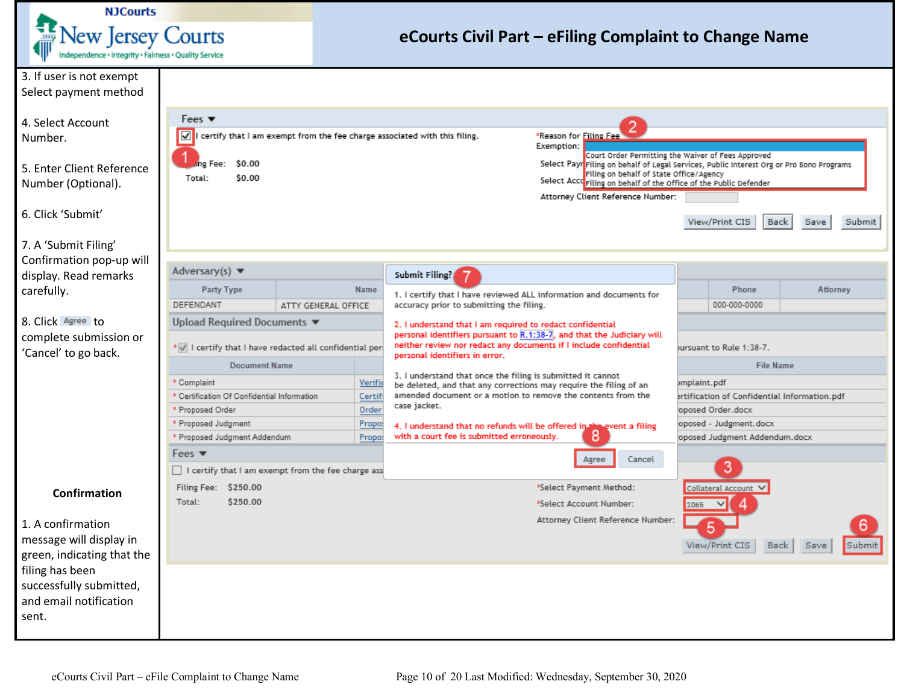

<span id="page-9-0"></span>

| 3. If user is not exempt   |                                                       |                     |         |                                                                                                                                  |                                                                                          |  |  |  |
|----------------------------|-------------------------------------------------------|---------------------|---------|----------------------------------------------------------------------------------------------------------------------------------|------------------------------------------------------------------------------------------|--|--|--|
| Select payment method      |                                                       |                     |         |                                                                                                                                  |                                                                                          |  |  |  |
|                            |                                                       |                     |         |                                                                                                                                  |                                                                                          |  |  |  |
| 4. Select Account          | Fees $\blacktriangledown$                             |                     |         |                                                                                                                                  |                                                                                          |  |  |  |
| Number.                    | ✓                                                     |                     |         | certify that I am exempt from the fee charge associated with this filing.<br>*Reason for Filing Fee                              |                                                                                          |  |  |  |
|                            |                                                       |                     |         | Exemption:                                                                                                                       | Court Order Permitting the Waiver of Fees Approved                                       |  |  |  |
| 5. Enter Client Reference  | \$0.00<br>ng Fee:                                     |                     |         | Filing on behalf of State Office/Agency                                                                                          | Select Payr Filing on behalf of Legal Services, Public Interest Org or Pro Bono Programs |  |  |  |
| Number (Optional).         | \$0.00<br>Total:                                      |                     |         | Select Accorriling on behalf of the Office of the Public Defender                                                                |                                                                                          |  |  |  |
|                            |                                                       |                     |         | Attorney Client Reference Number:                                                                                                |                                                                                          |  |  |  |
| 6. Click 'Submit'          |                                                       |                     |         |                                                                                                                                  |                                                                                          |  |  |  |
|                            |                                                       |                     |         |                                                                                                                                  | View/Print CIS<br>Back<br>Submit<br>Save                                                 |  |  |  |
| 7. A 'Submit Filing'       |                                                       |                     |         |                                                                                                                                  |                                                                                          |  |  |  |
| Confirmation pop-up will   |                                                       |                     |         |                                                                                                                                  |                                                                                          |  |  |  |
| display. Read remarks      | Adversary(s) $\blacktriangledown$                     |                     |         | Submit Filing?                                                                                                                   |                                                                                          |  |  |  |
| carefully.                 | Party Type                                            |                     | Name    | 1. I certify that I have reviewed ALL information and documents for                                                              | Phone<br>Attorney                                                                        |  |  |  |
|                            | DEFENDANT                                             | ATTY GENERAL OFFICE |         | accuracy prior to submitting the filing.                                                                                         | 000-000-0000                                                                             |  |  |  |
| 8. Click Agree to          | Upload Required Documents ▼                           |                     |         | 2. I understand that I am required to redact confidential                                                                        |                                                                                          |  |  |  |
| complete submission or     |                                                       |                     |         | personal identifiers pursuant to R.1:38-7, and that the Judiciary will                                                           |                                                                                          |  |  |  |
| 'Cancel' to go back.       | * I certify that I have redacted all confidential per |                     |         | neither review nor redact any documents if I include confidential<br>personal identifiers in error.                              | ursuant to Rule 1:38-7.                                                                  |  |  |  |
|                            | <b>Document Name</b>                                  |                     |         |                                                                                                                                  | <b>File Name</b>                                                                         |  |  |  |
|                            | * Complaint                                           |                     | Verifie | 3. I understand that once the filing is submitted it cannot<br>be deleted, and that any corrections may require the filing of an | )mplaint.pdf                                                                             |  |  |  |
|                            | * Certification Of Confidential Information           |                     | Certifi | amended document or a motion to remove the contents from the                                                                     | ertification of Confidential Information.pdf                                             |  |  |  |
|                            | * Proposed Order                                      |                     | Order   | case jacket.                                                                                                                     | oposed Order.docx                                                                        |  |  |  |
|                            | * Proposed Judgment                                   |                     | Propo:  | 4. I understand that no refunds will be offered in the event a filing                                                            | oposed - Judgment.docx                                                                   |  |  |  |
|                            | * Proposed Judgment Addendum                          |                     | Propot  | 8<br>with a court fee is submitted erroneously.                                                                                  | oposed Judgment Addendum.docx                                                            |  |  |  |
|                            | Fees $\blacktriangledown$                             |                     |         | Cancel<br>Agree                                                                                                                  |                                                                                          |  |  |  |
|                            | I certify that I am exempt from the fee charge ass    |                     |         |                                                                                                                                  | 3                                                                                        |  |  |  |
| <b>Confirmation</b>        | Filing Fee: \$250.00                                  |                     |         | *Select Payment Method:                                                                                                          | Collateral Account ∨                                                                     |  |  |  |
|                            | \$250.00<br>Total:                                    |                     |         | *Select Account Number:                                                                                                          | 2065                                                                                     |  |  |  |
| 1. A confirmation          |                                                       |                     |         | Attorney Client Reference Number:                                                                                                | 6                                                                                        |  |  |  |
| message will display in    |                                                       |                     |         |                                                                                                                                  |                                                                                          |  |  |  |
| green, indicating that the |                                                       |                     |         |                                                                                                                                  | View/Print CIS<br>Submit<br>Back<br>Save                                                 |  |  |  |
| filing has been            |                                                       |                     |         |                                                                                                                                  |                                                                                          |  |  |  |
| successfully submitted,    |                                                       |                     |         |                                                                                                                                  |                                                                                          |  |  |  |
| and email notification     |                                                       |                     |         |                                                                                                                                  |                                                                                          |  |  |  |
| sent.                      |                                                       |                     |         |                                                                                                                                  |                                                                                          |  |  |  |
|                            |                                                       |                     |         |                                                                                                                                  |                                                                                          |  |  |  |
|                            |                                                       |                     |         |                                                                                                                                  |                                                                                          |  |  |  |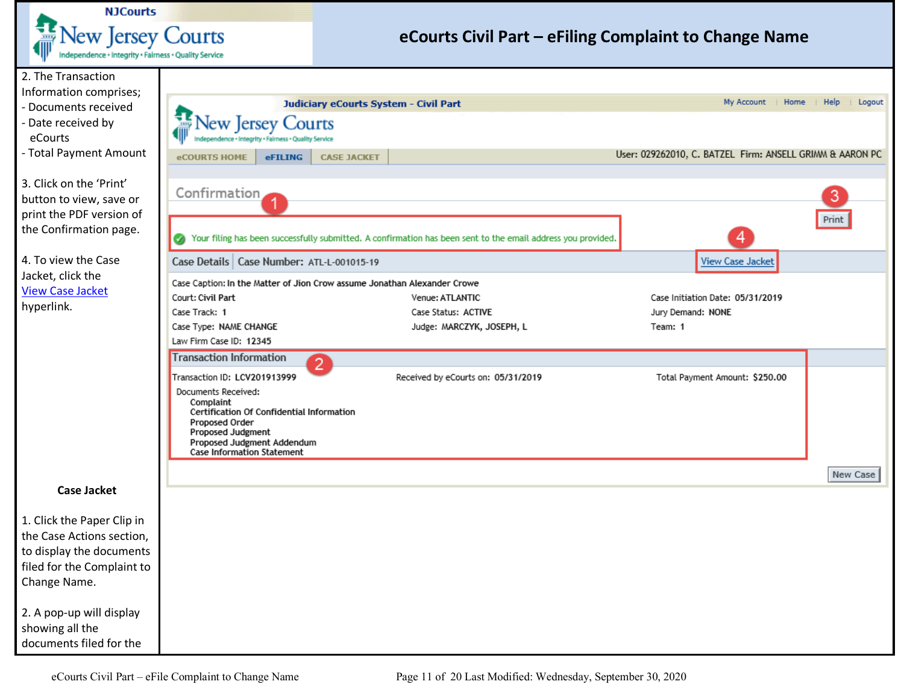

<span id="page-10-0"></span>

| 2. The Transaction                             |                                                                          |                                                                                                              |                                                          |                |
|------------------------------------------------|--------------------------------------------------------------------------|--------------------------------------------------------------------------------------------------------------|----------------------------------------------------------|----------------|
| Information comprises;<br>- Documents received |                                                                          | Judiciary eCourts System - Civil Part                                                                        | My Account   Home                                        | Help<br>Logout |
| - Date received by                             |                                                                          |                                                                                                              |                                                          |                |
| eCourts                                        | New Jersey Courts<br>dence · Integrity · Fairness · Quality Service      |                                                                                                              |                                                          |                |
| - Total Payment Amount                         |                                                                          |                                                                                                              | User: 029262010, C. BATZEL Firm: ANSELL GRIMM & AARON PC |                |
|                                                | eCOURTS HOME<br><b>eFILING</b><br><b>CASE JACKET</b>                     |                                                                                                              |                                                          |                |
| 3. Click on the 'Print'                        |                                                                          |                                                                                                              |                                                          |                |
| button to view, save or                        | Confirmation                                                             |                                                                                                              |                                                          | 3              |
| print the PDF version of                       |                                                                          |                                                                                                              |                                                          | Print          |
| the Confirmation page.                         |                                                                          | Your filing has been successfully submitted. A confirmation has been sent to the email address you provided. |                                                          |                |
| 4. To view the Case                            | Case Details   Case Number: ATL-L-001015-19                              |                                                                                                              | <b>View Case Jacket</b>                                  |                |
| Jacket, click the<br><b>View Case Jacket</b>   | Case Caption: In the Matter of Jion Crow assume Jonathan Alexander Crowe |                                                                                                              |                                                          |                |
| hyperlink.                                     | Court: Civil Part                                                        | Venue: ATLANTIC                                                                                              | Case Initiation Date: 05/31/2019                         |                |
|                                                | Case Track: 1                                                            | Case Status: ACTIVE                                                                                          | Jury Demand: NONE                                        |                |
|                                                | Case Type: NAME CHANGE                                                   | Judge: MARCZYK, JOSEPH, L                                                                                    | Team: 1                                                  |                |
|                                                | Law Firm Case ID: 12345                                                  |                                                                                                              |                                                          |                |
|                                                | <b>Transaction Information</b><br>$\boxed{2}$                            |                                                                                                              |                                                          |                |
|                                                | Transaction ID: LCV201913999                                             | Received by eCourts on: 05/31/2019                                                                           | Total Payment Amount: \$250.00                           |                |
|                                                | Documents Received:<br>Complaint                                         |                                                                                                              |                                                          |                |
|                                                | Certification Of Confidential Information                                |                                                                                                              |                                                          |                |
|                                                | Proposed Order<br>Proposed Judgment                                      |                                                                                                              |                                                          |                |
|                                                | Proposed Judgment Addendum<br><b>Case Information Statement</b>          |                                                                                                              |                                                          |                |
|                                                |                                                                          |                                                                                                              |                                                          |                |
| <b>Case Jacket</b>                             |                                                                          |                                                                                                              |                                                          | New Case       |
|                                                |                                                                          |                                                                                                              |                                                          |                |
| 1. Click the Paper Clip in                     |                                                                          |                                                                                                              |                                                          |                |
| the Case Actions section,                      |                                                                          |                                                                                                              |                                                          |                |
| to display the documents                       |                                                                          |                                                                                                              |                                                          |                |
| filed for the Complaint to                     |                                                                          |                                                                                                              |                                                          |                |
| Change Name.                                   |                                                                          |                                                                                                              |                                                          |                |
|                                                |                                                                          |                                                                                                              |                                                          |                |
| 2. A pop-up will display                       |                                                                          |                                                                                                              |                                                          |                |
| showing all the                                |                                                                          |                                                                                                              |                                                          |                |
| documents filed for the                        |                                                                          |                                                                                                              |                                                          |                |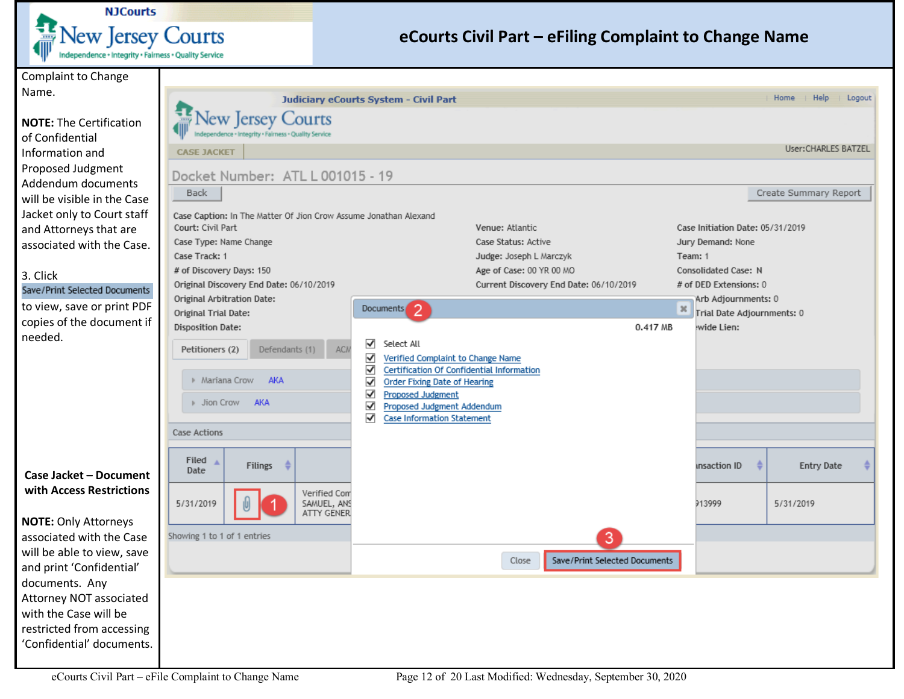

<span id="page-11-0"></span>

| <b>Complaint to Change</b>                        |                                                                                       |                                                                               |                                        |      |                                          |                        |
|---------------------------------------------------|---------------------------------------------------------------------------------------|-------------------------------------------------------------------------------|----------------------------------------|------|------------------------------------------|------------------------|
| Name.                                             |                                                                                       | Judiciary eCourts System - Civil Part                                         |                                        |      |                                          | Help<br>Home<br>Logout |
| <b>NOTE: The Certification</b><br>of Confidential | <b>New Jersey Courts</b><br>Independence + Integrity + Fairness + Quality Service     |                                                                               |                                        |      |                                          |                        |
| Information and                                   | <b>CASE JACKET</b>                                                                    |                                                                               |                                        |      |                                          | User:CHARLES BATZEL    |
| Proposed Judgment                                 | Docket Number: ATL L 001015 - 19                                                      |                                                                               |                                        |      |                                          |                        |
| Addendum documents                                | <b>Back</b>                                                                           |                                                                               |                                        |      |                                          | Create Summary Report  |
| will be visible in the Case                       |                                                                                       |                                                                               |                                        |      |                                          |                        |
| Jacket only to Court staff                        | Case Caption: In The Matter Of Jion Crow Assume Jonathan Alexand<br>Court: Civil Part |                                                                               | Venue: Atlantic                        |      | Case Initiation Date: 05/31/2019         |                        |
| and Attorneys that are                            | Case Type: Name Change                                                                |                                                                               | Case Status: Active                    |      | Jury Demand: None                        |                        |
| associated with the Case.                         | Case Track: 1                                                                         |                                                                               | Judge: Joseph L Marczyk                |      | Team: 1                                  |                        |
| 3. Click                                          | # of Discovery Days: 150                                                              |                                                                               | Age of Case: 00 YR 00 MO               |      | Consolidated Case: N                     |                        |
| Save/Print Selected Documents                     | Original Discovery End Date: 06/10/2019                                               |                                                                               | Current Discovery End Date: 06/10/2019 |      | # of DED Extensions: 0                   |                        |
| to view, save or print PDF                        | Original Arbitration Date:                                                            | $\overline{2}$<br>Documents                                                   |                                        | $36$ | Arb Adjournments: 0                      |                        |
| copies of the document if                         | Original Trial Date:<br><b>Disposition Date:</b>                                      |                                                                               | 0.417 MB                               |      | Trial Date Adjournments: 0<br>wide Lien: |                        |
| needed.                                           |                                                                                       | ✔<br>Select All                                                               |                                        |      |                                          |                        |
|                                                   | Petitioners (2)<br>ACN<br>Defendants (1)                                              | $\blacktriangledown$<br>Verified Complaint to Change Name                     |                                        |      |                                          |                        |
|                                                   | Mariana Crow AKA                                                                      | ✔<br>Certification Of Confidential Information                                |                                        |      |                                          |                        |
|                                                   |                                                                                       | $\checkmark$<br><b>Order Fixing Date of Hearing</b><br>√<br>Proposed Judgment |                                        |      |                                          |                        |
|                                                   | ▶ Jion Crow<br>AKA                                                                    | ✔<br>Proposed Judgment Addendum                                               |                                        |      |                                          |                        |
|                                                   |                                                                                       | √<br><b>Case Information Statement</b>                                        |                                        |      |                                          |                        |
|                                                   | Case Actions                                                                          |                                                                               |                                        |      |                                          |                        |
|                                                   | Filed $\triangle$                                                                     |                                                                               |                                        |      |                                          |                        |
| Case Jacket - Document                            | €<br><b>Filings</b><br>Date                                                           |                                                                               |                                        |      | insaction ID                             | <b>Entry Date</b>      |
| with Access Restrictions                          | Verified Com                                                                          |                                                                               |                                        |      |                                          |                        |
|                                                   | 5/31/2019<br>SAMUEL, ANS<br><b>ATTY GENER</b>                                         |                                                                               |                                        |      | 913999                                   | 5/31/2019              |
| <b>NOTE: Only Attorneys</b>                       |                                                                                       |                                                                               |                                        |      |                                          |                        |
| associated with the Case                          | Showing 1 to 1 of 1 entries                                                           |                                                                               |                                        |      |                                          |                        |
| will be able to view, save                        |                                                                                       |                                                                               | Save/Print Selected Documents<br>Close |      |                                          |                        |
| and print 'Confidential'<br>documents. Any        |                                                                                       |                                                                               |                                        |      |                                          |                        |
| Attorney NOT associated                           |                                                                                       |                                                                               |                                        |      |                                          |                        |
| with the Case will be                             |                                                                                       |                                                                               |                                        |      |                                          |                        |
| restricted from accessing                         |                                                                                       |                                                                               |                                        |      |                                          |                        |
| 'Confidential' documents.                         |                                                                                       |                                                                               |                                        |      |                                          |                        |
|                                                   |                                                                                       |                                                                               |                                        |      |                                          |                        |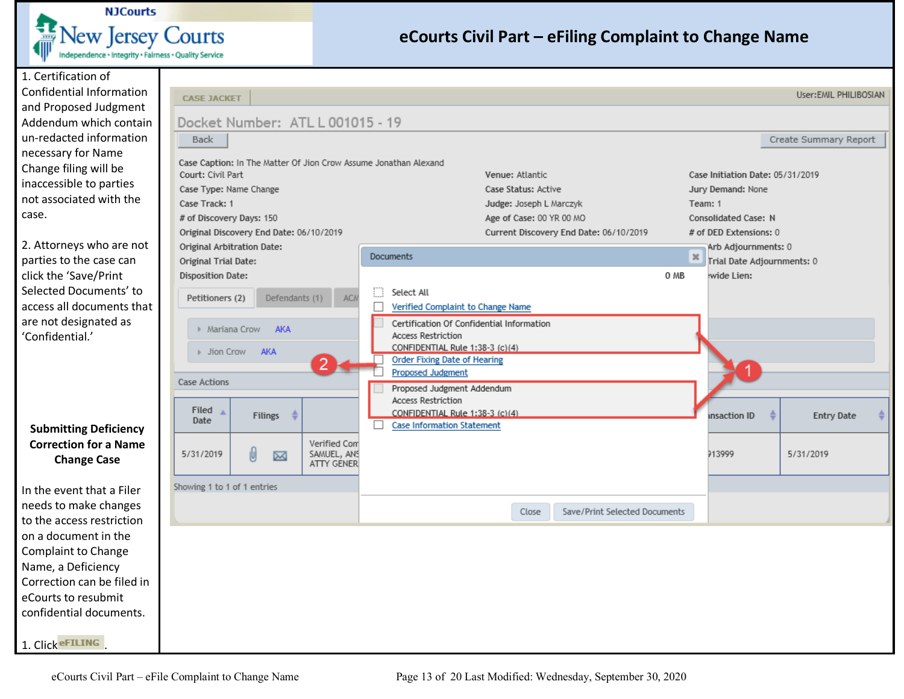

1. Certification of Confidential Information and Proposed Judgmen Addendum which conta un-redacted information necessary for Name Change filing will be inaccessible to parties not associated with the case.

2. Attorneys who are no parties to the case can click the 'Save/Print Selected Documents' to access all documents th are not designated as 'Confidential.'

#### <span id="page-12-0"></span>**Submitting Deficienc Correction for a Nam Change Case**

In the event that a Filer needs to make changes to the access restriction on a document in the Complaint to Change Name, a Deficiency Correction can be filed eCourts to resubmit confidential documents.

1. Click **eFILING** 

| <b>Back</b>                                                                                                                                                     | Docket Number: ATL L 001015 - 19                                                        |                                           |                                                                                                                                                                                                                                                             |                                                                                               |                                        |                         |                                                                                                                                                                                       | Create Summary Report |  |
|-----------------------------------------------------------------------------------------------------------------------------------------------------------------|-----------------------------------------------------------------------------------------|-------------------------------------------|-------------------------------------------------------------------------------------------------------------------------------------------------------------------------------------------------------------------------------------------------------------|-----------------------------------------------------------------------------------------------|----------------------------------------|-------------------------|---------------------------------------------------------------------------------------------------------------------------------------------------------------------------------------|-----------------------|--|
| Court: Civil Part<br>Case Type: Name Change<br>Case Track: 1<br># of Discovery Days: 150<br>Original Trial Date:<br><b>Disposition Date:</b><br>Petitioners (2) | Original Discovery End Date: 06/10/2019<br>Original Arbitration Date:<br>Defendants (1) | <b>ACN</b>                                | Case Caption: In The Matter Of Jion Crow Assume Jonathan Alexand<br><b>Documents</b><br>Select All<br>П<br>$\Box$<br>Verified Complaint to Change Name                                                                                                      | Venue: Atlantic<br>Case Status: Active<br>Judge: Joseph L Marczyk<br>Age of Case: 00 YR 00 MO | Current Discovery End Date: 06/10/2019 | $\vert x \vert$<br>0 MB | Case Initiation Date: 05/31/2019<br>Jury Demand: None<br>Team: 1<br>Consolidated Case: N<br># of DED Extensions: 0<br>Arb Adjournments: 0<br>Trial Date Adjournments: 0<br>wide Lien: |                       |  |
| Mariana Crow<br><b>Case Actions</b><br>Filed $\triangle$<br>Date                                                                                                | <b>AKA</b><br>Jion Crow AKA<br>$\frac{1}{2}$<br>Filings                                 |                                           | <b>Access Restriction</b><br>CONFIDENTIAL Rule 1:38-3 (c)(4)<br><b>Order Fixing Date of Hearing</b><br><b>Proposed Judgment</b><br>Proposed Judgment Addendum<br>Access Restriction<br>CONFIDENTIAL Rule 1:38-3 (c)(4)<br><b>Case Information Statement</b> | Certification Of Confidential Information                                                     |                                        |                         | <b>Insaction ID</b>                                                                                                                                                                   | <b>Entry Date</b>     |  |
| 5/31/2019<br>Showing 1 to 1 of 1 entries                                                                                                                        | 0<br>K                                                                                  | Verified Com<br>SAMUEL, ANS<br>ATTY GENER |                                                                                                                                                                                                                                                             |                                                                                               |                                        |                         | 913999                                                                                                                                                                                | 5/31/2019             |  |
|                                                                                                                                                                 |                                                                                         |                                           |                                                                                                                                                                                                                                                             | Close                                                                                         | Save/Print Selected Documents          |                         |                                                                                                                                                                                       |                       |  |
|                                                                                                                                                                 |                                                                                         |                                           |                                                                                                                                                                                                                                                             |                                                                                               |                                        |                         |                                                                                                                                                                                       |                       |  |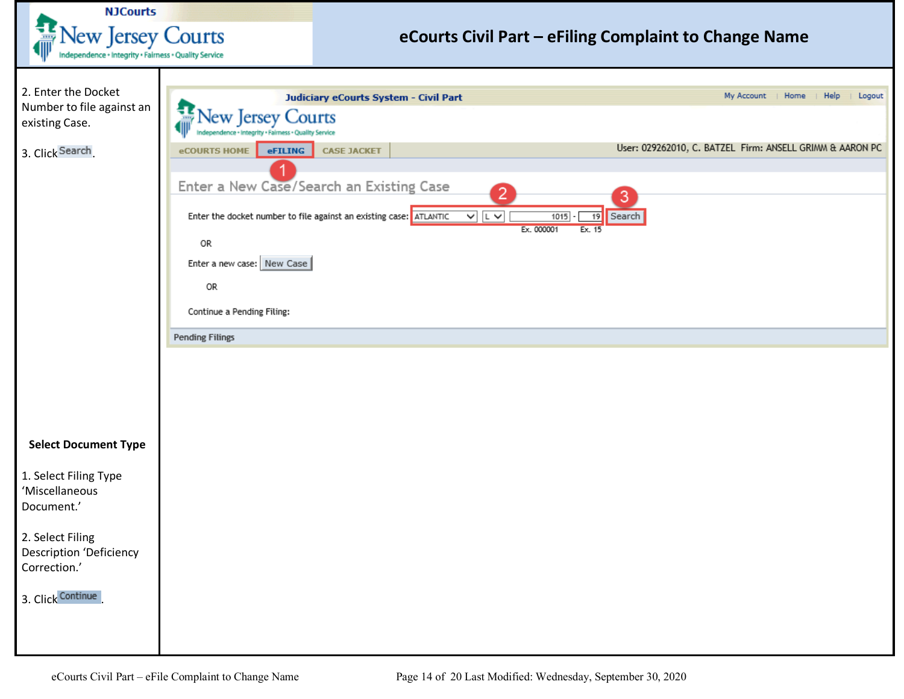<span id="page-13-0"></span>

| <b>NJCourts</b>                                                                       |                                                                                                            |                                                                                                                                                                         |                                                                                                 |
|---------------------------------------------------------------------------------------|------------------------------------------------------------------------------------------------------------|-------------------------------------------------------------------------------------------------------------------------------------------------------------------------|-------------------------------------------------------------------------------------------------|
| <b>New Jersey Courts</b>                                                              |                                                                                                            | eCourts Civil Part - eFiling Complaint to Change Name                                                                                                                   |                                                                                                 |
| Independence + Integrity + Fairness + Quality Service                                 |                                                                                                            |                                                                                                                                                                         |                                                                                                 |
| 2. Enter the Docket<br>Number to file against an<br>existing Case.<br>3. Click Search | <b>Jew Jersey Courts</b><br>dependence + Integrity + Fairness + Quality Service<br>eFILING<br>eCOURTS HOME | Judiciary eCourts System - Civil Part<br><b>CASE JACKET</b>                                                                                                             | My Account   Home<br>Help<br>Logout<br>User: 029262010, C. BATZEL Firm: ANSELL GRIMM & AARON PC |
|                                                                                       | 0R<br>Enter a new case: New Case                                                                           | Enter a New Case/Search an Existing Case<br>2<br>Enter the docket number to file against an existing case: ATLANTIC<br>$\sqrt{2}$<br>1015<br>19<br>Ex. 000001<br>Ex. 15 | 3<br>Search                                                                                     |
|                                                                                       | 0R<br>Continue a Pending Filing:                                                                           |                                                                                                                                                                         |                                                                                                 |
|                                                                                       | <b>Pending Filings</b>                                                                                     |                                                                                                                                                                         |                                                                                                 |
|                                                                                       |                                                                                                            |                                                                                                                                                                         |                                                                                                 |
| <b>Select Document Type</b>                                                           |                                                                                                            |                                                                                                                                                                         |                                                                                                 |
| 1. Select Filing Type<br>'Miscellaneous<br>Document.'                                 |                                                                                                            |                                                                                                                                                                         |                                                                                                 |
| 2. Select Filing<br><b>Description 'Deficiency</b><br>Correction.'                    |                                                                                                            |                                                                                                                                                                         |                                                                                                 |
| 3. Click Continue                                                                     |                                                                                                            |                                                                                                                                                                         |                                                                                                 |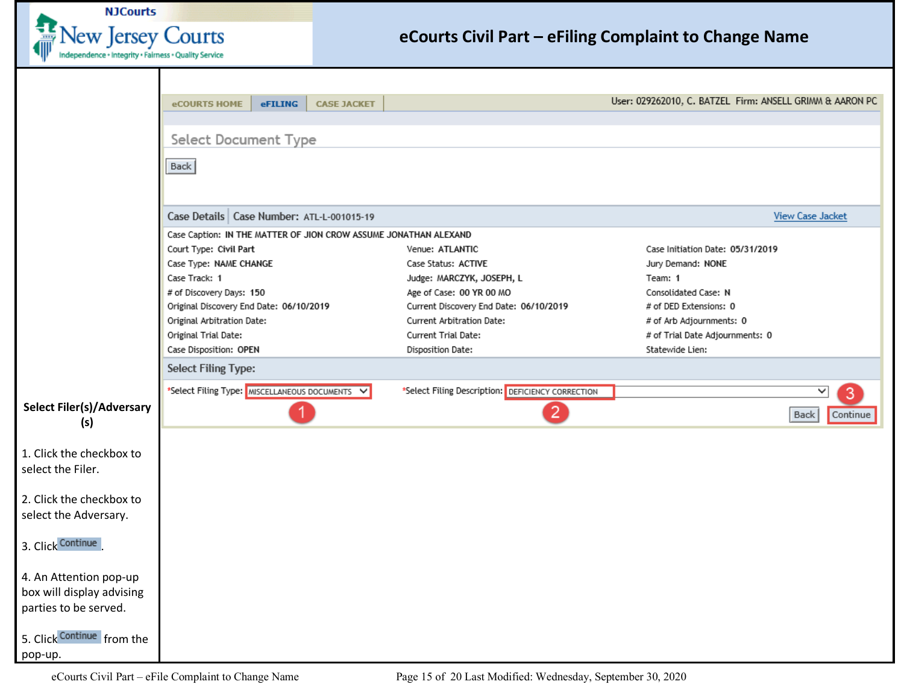

<span id="page-14-0"></span>

|                                  | eCOURTS HOME                                 | eFILING | <b>CASE JACKET</b> |                                                                  | User: 029262010, C. BATZEL Firm: ANSELL GRIMM & AARON PC |                         |
|----------------------------------|----------------------------------------------|---------|--------------------|------------------------------------------------------------------|----------------------------------------------------------|-------------------------|
|                                  |                                              |         |                    |                                                                  |                                                          |                         |
|                                  |                                              |         |                    |                                                                  |                                                          |                         |
|                                  | Select Document Type                         |         |                    |                                                                  |                                                          |                         |
|                                  | Back                                         |         |                    |                                                                  |                                                          |                         |
|                                  |                                              |         |                    |                                                                  |                                                          |                         |
|                                  |                                              |         |                    |                                                                  |                                                          |                         |
|                                  | Case Details   Case Number: ATL-L-001015-19  |         |                    |                                                                  |                                                          | <b>View Case Jacket</b> |
|                                  |                                              |         |                    | Case Caption: IN THE MATTER OF JION CROW ASSUME JONATHAN ALEXAND |                                                          |                         |
|                                  | Court Type: Civil Part                       |         |                    | Venue: ATLANTIC                                                  | Case Initiation Date: 05/31/2019                         |                         |
|                                  | Case Type: NAME CHANGE                       |         |                    | Case Status: ACTIVE                                              | Jury Demand: NONE                                        |                         |
|                                  | Case Track: 1                                |         |                    | Judge: MARCZYK, JOSEPH, L                                        | Team: 1                                                  |                         |
|                                  | # of Discovery Days: 150                     |         |                    | Age of Case: 00 YR 00 MO                                         | Consolidated Case: N                                     |                         |
|                                  | Original Discovery End Date: 06/10/2019      |         |                    | Current Discovery End Date: 06/10/2019                           | # of DED Extensions: 0                                   |                         |
|                                  | Original Arbitration Date:                   |         |                    | Current Arbitration Date:                                        | # of Arb Adjournments: 0                                 |                         |
|                                  | Original Trial Date:                         |         |                    | Current Trial Date:                                              | # of Trial Date Adjournments: 0                          |                         |
|                                  | Case Disposition: OPEN                       |         |                    | Disposition Date:                                                | Statewide Lien:                                          |                         |
|                                  | <b>Select Filing Type:</b>                   |         |                    |                                                                  |                                                          |                         |
|                                  | *Select Filing Type: MISCELLANEOUS DOCUMENTS |         |                    | *Select Filing Description: DEFICIENCY CORRECTION                |                                                          | 3<br>◡                  |
| <b>Select Filer(s)/Adversary</b> |                                              |         |                    |                                                                  |                                                          |                         |
| (s)                              |                                              | 1       |                    | $\overline{2}$                                                   |                                                          | Continue<br><b>Back</b> |
|                                  |                                              |         |                    |                                                                  |                                                          |                         |
| 1. Click the checkbox to         |                                              |         |                    |                                                                  |                                                          |                         |
| select the Filer.                |                                              |         |                    |                                                                  |                                                          |                         |
|                                  |                                              |         |                    |                                                                  |                                                          |                         |
| 2. Click the checkbox to         |                                              |         |                    |                                                                  |                                                          |                         |
| select the Adversary.            |                                              |         |                    |                                                                  |                                                          |                         |
|                                  |                                              |         |                    |                                                                  |                                                          |                         |
| 3. Click Continue                |                                              |         |                    |                                                                  |                                                          |                         |
|                                  |                                              |         |                    |                                                                  |                                                          |                         |
| 4. An Attention pop-up           |                                              |         |                    |                                                                  |                                                          |                         |
| box will display advising        |                                              |         |                    |                                                                  |                                                          |                         |
| parties to be served.            |                                              |         |                    |                                                                  |                                                          |                         |
|                                  |                                              |         |                    |                                                                  |                                                          |                         |
| 5. Click Continue from the       |                                              |         |                    |                                                                  |                                                          |                         |
| pop-up.                          |                                              |         |                    |                                                                  |                                                          |                         |
|                                  |                                              |         |                    |                                                                  |                                                          |                         |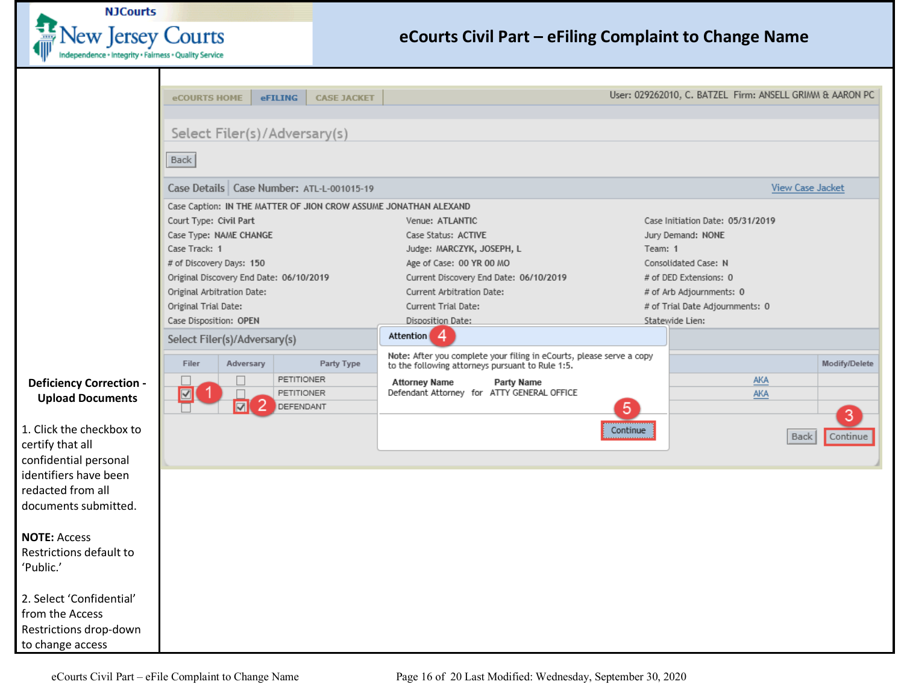

<span id="page-15-0"></span>

|                                | eCOURTS HOME                          |                              | eFILING<br><b>CASE JACKET</b>                                                                                            |                                        |          | User: 029262010, C. BATZEL Firm: ANSELL GRIMM & AARON PC |                  |
|--------------------------------|---------------------------------------|------------------------------|--------------------------------------------------------------------------------------------------------------------------|----------------------------------------|----------|----------------------------------------------------------|------------------|
|                                |                                       |                              |                                                                                                                          |                                        |          |                                                          |                  |
|                                |                                       |                              | Select Filer(s)/Adversary(s)                                                                                             |                                        |          |                                                          |                  |
|                                | <b>Back</b>                           |                              |                                                                                                                          |                                        |          |                                                          |                  |
|                                |                                       |                              |                                                                                                                          |                                        |          |                                                          |                  |
|                                |                                       |                              | Case Details   Case Number: ATL-L-001015-19                                                                              |                                        |          |                                                          | View Case Jacket |
|                                |                                       |                              | Case Caption: IN THE MATTER OF JION CROW ASSUME JONATHAN ALEXAND                                                         |                                        |          |                                                          |                  |
|                                | Court Type: Civil Part                |                              |                                                                                                                          | Venue: ATLANTIC                        |          | Case Initiation Date: 05/31/2019                         |                  |
|                                | Case Type: NAME CHANGE                |                              |                                                                                                                          | Case Status: ACTIVE                    |          | Jury Demand: NONE                                        |                  |
|                                | Case Track: 1                         |                              |                                                                                                                          | Judge: MARCZYK, JOSEPH, L              | Team: 1  |                                                          |                  |
|                                | # of Discovery Days: 150              |                              |                                                                                                                          | Age of Case: 00 YR 00 MO               |          | Consolidated Case: N                                     |                  |
|                                |                                       |                              | Original Discovery End Date: 06/10/2019                                                                                  | Current Discovery End Date: 06/10/2019 |          | # of DED Extensions: 0                                   |                  |
|                                | Original Arbitration Date:            |                              |                                                                                                                          | Current Arbitration Date:              |          | # of Arb Adjournments: 0                                 |                  |
|                                | Original Trial Date:                  |                              |                                                                                                                          | Current Trial Date:                    |          | # of Trial Date Adjournments: 0                          |                  |
|                                | Case Disposition: OPEN                |                              |                                                                                                                          | Disposition Date:                      |          | Statewide Lien:                                          |                  |
|                                | Select Filer(s)/Adversary(s)          |                              |                                                                                                                          | Attention 4                            |          |                                                          |                  |
|                                | Filer<br>Adversary                    | Party Type                   | Note: After you complete your filing in eCourts, please serve a copy<br>to the following attorneys pursuant to Rule 1:5. |                                        |          | Modify/Delete                                            |                  |
| <b>Deficiency Correction -</b> |                                       | $\Box$                       | <b>PETITIONER</b>                                                                                                        | <b>Attorney Name</b><br>Party Name     |          | AKA                                                      |                  |
| <b>Upload Documents</b>        | $\overline{\mathbf{z}}$<br>PETITIONER |                              | Defendant Attorney for ATTY GENERAL OFFICE                                                                               |                                        | AKA      |                                                          |                  |
|                                |                                       | 2<br>$\overline{\mathbf{v}}$ | DEFENDANT                                                                                                                |                                        | 5        |                                                          | 3                |
| 1. Click the checkbox to       |                                       |                              |                                                                                                                          |                                        | Continue |                                                          |                  |
| certify that all               |                                       |                              |                                                                                                                          |                                        |          | Back                                                     | Continue         |
| confidential personal          |                                       |                              |                                                                                                                          |                                        |          |                                                          |                  |
| identifiers have been          |                                       |                              |                                                                                                                          |                                        |          |                                                          |                  |
| redacted from all              |                                       |                              |                                                                                                                          |                                        |          |                                                          |                  |
| documents submitted.           |                                       |                              |                                                                                                                          |                                        |          |                                                          |                  |
|                                |                                       |                              |                                                                                                                          |                                        |          |                                                          |                  |
| <b>NOTE: Access</b>            |                                       |                              |                                                                                                                          |                                        |          |                                                          |                  |
| Restrictions default to        |                                       |                              |                                                                                                                          |                                        |          |                                                          |                  |
| 'Public.'                      |                                       |                              |                                                                                                                          |                                        |          |                                                          |                  |
|                                |                                       |                              |                                                                                                                          |                                        |          |                                                          |                  |
| 2. Select 'Confidential'       |                                       |                              |                                                                                                                          |                                        |          |                                                          |                  |
| from the Access                |                                       |                              |                                                                                                                          |                                        |          |                                                          |                  |
| Restrictions drop-down         |                                       |                              |                                                                                                                          |                                        |          |                                                          |                  |
| to change access               |                                       |                              |                                                                                                                          |                                        |          |                                                          |                  |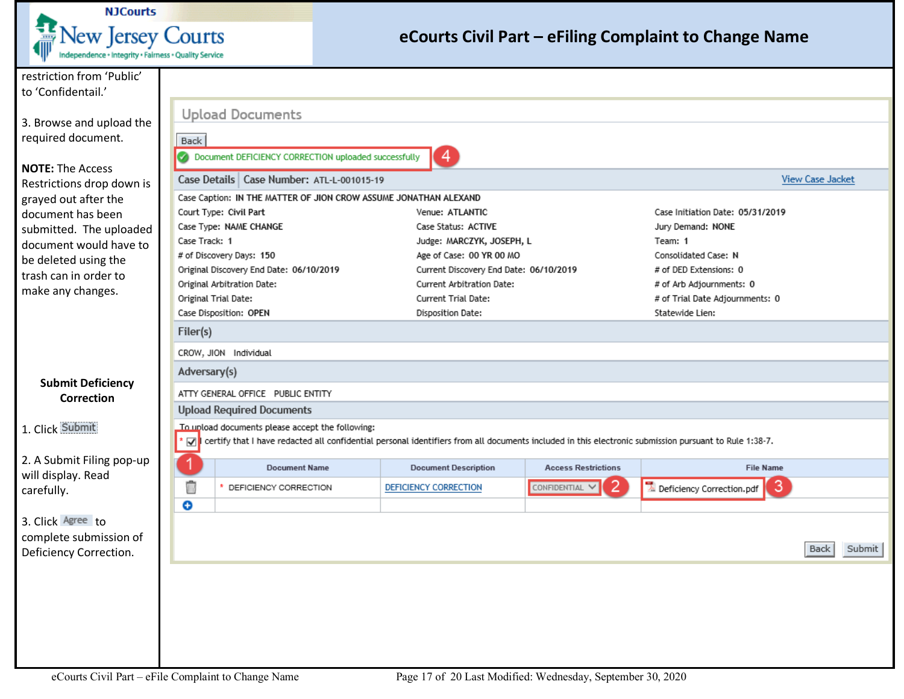

<span id="page-16-0"></span>

| restriction from 'Public'        |                      |                                                                                                                                                                                                           |                                        |                            |                                            |                         |        |  |  |  |
|----------------------------------|----------------------|-----------------------------------------------------------------------------------------------------------------------------------------------------------------------------------------------------------|----------------------------------------|----------------------------|--------------------------------------------|-------------------------|--------|--|--|--|
| to 'Confidentail.'               |                      |                                                                                                                                                                                                           |                                        |                            |                                            |                         |        |  |  |  |
|                                  |                      | <b>Upload Documents</b>                                                                                                                                                                                   |                                        |                            |                                            |                         |        |  |  |  |
| 3. Browse and upload the         |                      |                                                                                                                                                                                                           |                                        |                            |                                            |                         |        |  |  |  |
| required document.               | Back                 |                                                                                                                                                                                                           |                                        |                            |                                            |                         |        |  |  |  |
|                                  |                      | Document DEFICIENCY CORRECTION uploaded successfully                                                                                                                                                      |                                        |                            |                                            |                         |        |  |  |  |
| <b>NOTE: The Access</b>          |                      |                                                                                                                                                                                                           |                                        |                            |                                            |                         |        |  |  |  |
| Restrictions drop down is        |                      | Case Details   Case Number: ATL-L-001015-19                                                                                                                                                               |                                        |                            |                                            | <b>View Case Jacket</b> |        |  |  |  |
| grayed out after the             |                      | Case Caption: IN THE MATTER OF JION CROW ASSUME JONATHAN ALEXAND                                                                                                                                          |                                        |                            |                                            |                         |        |  |  |  |
| document has been                |                      | Court Type: Civil Part                                                                                                                                                                                    | Venue: ATLANTIC                        |                            | Case Initiation Date: 05/31/2019           |                         |        |  |  |  |
| submitted. The uploaded          |                      | Case Type: NAME CHANGE                                                                                                                                                                                    | Case Status: ACTIVE                    |                            | Jury Demand: NONE                          |                         |        |  |  |  |
| document would have to           | Case Track: 1        |                                                                                                                                                                                                           | Judge: MARCZYK, JOSEPH, L              |                            | Team: 1                                    |                         |        |  |  |  |
| be deleted using the             |                      | # of Discovery Days: 150                                                                                                                                                                                  | Age of Case: 00 YR 00 MO               |                            | Consolidated Case: N                       |                         |        |  |  |  |
| trash can in order to            |                      | Original Discovery End Date: 06/10/2019                                                                                                                                                                   | Current Discovery End Date: 06/10/2019 |                            | # of DED Extensions: 0                     |                         |        |  |  |  |
| make any changes.                |                      | Original Arbitration Date:                                                                                                                                                                                | Current Arbitration Date:              |                            | # of Arb Adjournments: 0                   |                         |        |  |  |  |
|                                  |                      | Original Trial Date:                                                                                                                                                                                      | Current Trial Date:                    |                            | # of Trial Date Adjournments: 0            |                         |        |  |  |  |
|                                  |                      | Case Disposition: OPEN                                                                                                                                                                                    | Disposition Date:                      |                            | Statewide Lien:                            |                         |        |  |  |  |
|                                  | Filer(s)             |                                                                                                                                                                                                           |                                        |                            |                                            |                         |        |  |  |  |
|                                  |                      | CROW, JION Individual                                                                                                                                                                                     |                                        |                            |                                            |                         |        |  |  |  |
|                                  |                      | Adversary(s)                                                                                                                                                                                              |                                        |                            |                                            |                         |        |  |  |  |
| <b>Submit Deficiency</b>         |                      | ATTY GENERAL OFFICE PUBLIC ENTITY                                                                                                                                                                         |                                        |                            |                                            |                         |        |  |  |  |
| <b>Correction</b>                |                      | <b>Upload Required Documents</b>                                                                                                                                                                          |                                        |                            |                                            |                         |        |  |  |  |
|                                  |                      |                                                                                                                                                                                                           |                                        |                            |                                            |                         |        |  |  |  |
| 1. Click Submit                  | $\blacktriangledown$ | To upload documents please accept the following:<br>certify that I have redacted all confidential personal identifiers from all documents included in this electronic submission pursuant to Rule 1:38-7. |                                        |                            |                                            |                         |        |  |  |  |
|                                  |                      |                                                                                                                                                                                                           |                                        |                            |                                            |                         |        |  |  |  |
| 2. A Submit Filing pop-up        |                      | <b>Document Name</b>                                                                                                                                                                                      | <b>Document Description</b>            | <b>Access Restrictions</b> | <b>File Name</b>                           |                         |        |  |  |  |
| will display. Read<br>carefully. | û                    | DEFICIENCY CORRECTION                                                                                                                                                                                     | DEFICIENCY CORRECTION                  | CONFIDENTIAL V             | $\mathbb Z$ Deficiency Correction.pdf<br>3 |                         |        |  |  |  |
|                                  | o                    |                                                                                                                                                                                                           |                                        |                            |                                            |                         |        |  |  |  |
| 3. Click Agree to                |                      |                                                                                                                                                                                                           |                                        |                            |                                            |                         |        |  |  |  |
| complete submission of           |                      |                                                                                                                                                                                                           |                                        |                            |                                            |                         |        |  |  |  |
| Deficiency Correction.           |                      |                                                                                                                                                                                                           |                                        |                            |                                            | <b>Back</b>             | Submit |  |  |  |
|                                  |                      |                                                                                                                                                                                                           |                                        |                            |                                            |                         |        |  |  |  |
|                                  |                      |                                                                                                                                                                                                           |                                        |                            |                                            |                         |        |  |  |  |
|                                  |                      |                                                                                                                                                                                                           |                                        |                            |                                            |                         |        |  |  |  |
|                                  |                      |                                                                                                                                                                                                           |                                        |                            |                                            |                         |        |  |  |  |
|                                  |                      |                                                                                                                                                                                                           |                                        |                            |                                            |                         |        |  |  |  |
|                                  |                      |                                                                                                                                                                                                           |                                        |                            |                                            |                         |        |  |  |  |
|                                  |                      |                                                                                                                                                                                                           |                                        |                            |                                            |                         |        |  |  |  |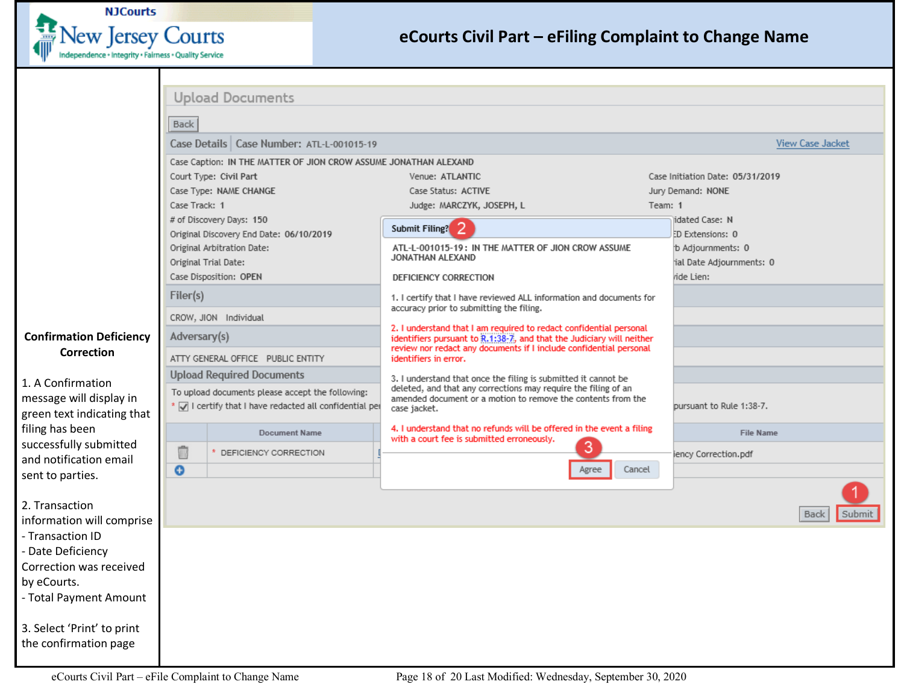

<span id="page-17-0"></span>

|                                                  |                                                                                                             | <b>Upload Documents</b>                                          |                                                                                                                                                |                                  |                         |
|--------------------------------------------------|-------------------------------------------------------------------------------------------------------------|------------------------------------------------------------------|------------------------------------------------------------------------------------------------------------------------------------------------|----------------------------------|-------------------------|
|                                                  | <b>Back</b>                                                                                                 |                                                                  |                                                                                                                                                |                                  |                         |
|                                                  |                                                                                                             | Case Details   Case Number: ATL-L-001015-19                      |                                                                                                                                                |                                  | <b>View Case Jacket</b> |
|                                                  |                                                                                                             | Case Caption: IN THE MATTER OF JION CROW ASSUME JONATHAN ALEXAND |                                                                                                                                                |                                  |                         |
|                                                  |                                                                                                             | Court Type: Civil Part                                           | Venue: ATLANTIC                                                                                                                                | Case Initiation Date: 05/31/2019 |                         |
|                                                  |                                                                                                             | Case Type: NAME CHANGE                                           | Case Status: ACTIVE                                                                                                                            | Jury Demand: NONE                |                         |
|                                                  | Case Track: 1                                                                                               |                                                                  | Judge: MARCZYK, JOSEPH, L                                                                                                                      | Team: 1                          |                         |
|                                                  |                                                                                                             | # of Discovery Days: 150                                         | Submit Filing? <sup>2</sup>                                                                                                                    | idated Case: N                   |                         |
|                                                  |                                                                                                             | Original Discovery End Date: 06/10/2019                          |                                                                                                                                                | ED Extensions: 0                 |                         |
|                                                  |                                                                                                             | Original Arbitration Date:                                       | ATL-L-001015-19: IN THE MATTER OF JION CROW ASSUME<br>JONATHAN ALEXAND                                                                         | b Adjournments: 0                |                         |
|                                                  |                                                                                                             | Original Trial Date:                                             |                                                                                                                                                | ial Date Adjournments: 0         |                         |
|                                                  |                                                                                                             | Case Disposition: OPEN                                           | DEFICIENCY CORRECTION                                                                                                                          | ride Lien:                       |                         |
|                                                  | Filer(s)                                                                                                    |                                                                  | 1. I certify that I have reviewed ALL information and documents for<br>accuracy prior to submitting the filing.                                |                                  |                         |
|                                                  |                                                                                                             | CROW, JION Individual                                            | 2. I understand that I am required to redact confidential personal                                                                             |                                  |                         |
| <b>Confirmation Deficiency</b>                   | Adversary(s)                                                                                                |                                                                  | identifiers pursuant to R.1:38-7, and that the Judiciary will neither<br>review nor redact any documents if I include confidential personal    |                                  |                         |
| Correction                                       |                                                                                                             | ATTY GENERAL OFFICE PUBLIC ENTITY                                | identifiers in error.                                                                                                                          |                                  |                         |
| 1. A Confirmation                                |                                                                                                             | <b>Upload Required Documents</b>                                 | 3. I understand that once the filing is submitted it cannot be                                                                                 |                                  |                         |
| message will display in                          | To upload documents please accept the following:<br>* V I certify that I have redacted all confidential per |                                                                  | deleted, and that any corrections may require the filing of an<br>amended document or a motion to remove the contents from the<br>case jacket. | pursuant to Rule 1:38-7.         |                         |
| green text indicating that                       |                                                                                                             |                                                                  |                                                                                                                                                |                                  |                         |
| filing has been                                  |                                                                                                             | <b>Document Name</b>                                             | 4. I understand that no refunds will be offered in the event a filing<br>with a court fee is submitted erroneously.                            | <b>File Name</b>                 |                         |
| successfully submitted<br>and notification email | û                                                                                                           | DEFICIENCY CORRECTION                                            | 3                                                                                                                                              | iency Correction.pdf             |                         |
| sent to parties.                                 | $\bullet$                                                                                                   |                                                                  | Cancel<br>Agree                                                                                                                                |                                  |                         |
| 2. Transaction                                   |                                                                                                             |                                                                  |                                                                                                                                                |                                  | Submit<br><b>Back</b>   |
| information will comprise                        |                                                                                                             |                                                                  |                                                                                                                                                |                                  |                         |
| - Transaction ID                                 |                                                                                                             |                                                                  |                                                                                                                                                |                                  |                         |
| - Date Deficiency                                |                                                                                                             |                                                                  |                                                                                                                                                |                                  |                         |
| Correction was received                          |                                                                                                             |                                                                  |                                                                                                                                                |                                  |                         |
| by eCourts.                                      |                                                                                                             |                                                                  |                                                                                                                                                |                                  |                         |
| - Total Payment Amount                           |                                                                                                             |                                                                  |                                                                                                                                                |                                  |                         |
| 3. Select 'Print' to print                       |                                                                                                             |                                                                  |                                                                                                                                                |                                  |                         |
| the confirmation page                            |                                                                                                             |                                                                  |                                                                                                                                                |                                  |                         |
|                                                  |                                                                                                             |                                                                  |                                                                                                                                                |                                  |                         |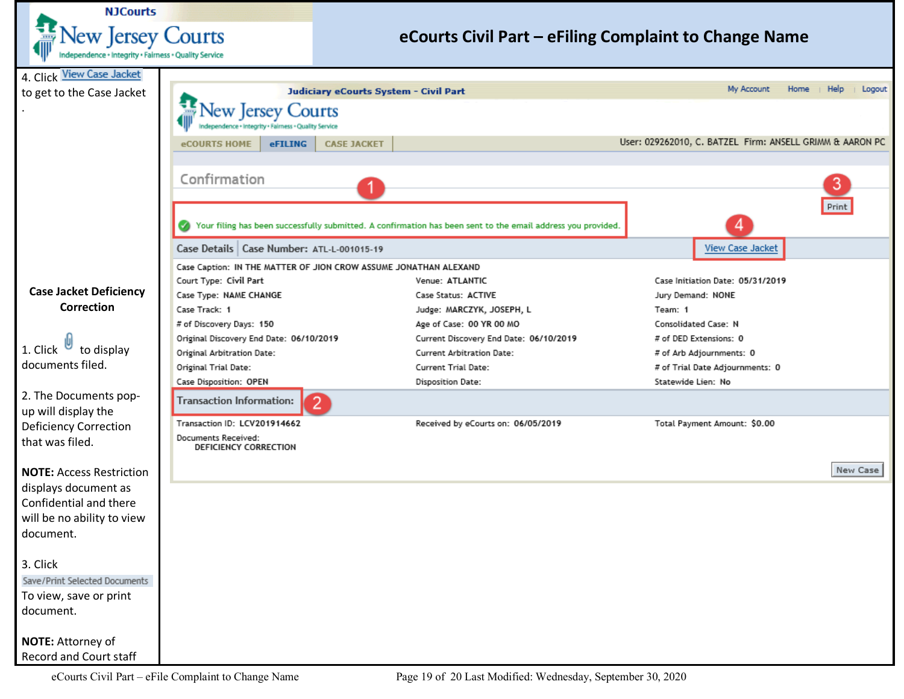<span id="page-18-0"></span>

| <b>NJCourts</b>                                       |                                                                  |                                       |                                                                                                              |                                                          |          |  |  |
|-------------------------------------------------------|------------------------------------------------------------------|---------------------------------------|--------------------------------------------------------------------------------------------------------------|----------------------------------------------------------|----------|--|--|
| <b>Vew Jersey Courts</b>                              |                                                                  |                                       | eCourts Civil Part – eFiling Complaint to Change Name                                                        |                                                          |          |  |  |
| Independence + Integrity + Fairness + Quality Service |                                                                  |                                       |                                                                                                              |                                                          |          |  |  |
| 4. Click View Case Jacket                             |                                                                  |                                       |                                                                                                              |                                                          |          |  |  |
| to get to the Case Jacket                             |                                                                  | Judiciary eCourts System - Civil Part |                                                                                                              | Help<br>My Account<br>Home                               | Logout   |  |  |
|                                                       | ew Jersey                                                        | Courts                                |                                                                                                              |                                                          |          |  |  |
|                                                       |                                                                  |                                       |                                                                                                              |                                                          |          |  |  |
|                                                       | eFILING<br>eCOURTS HOME                                          | <b>CASE JACKET</b>                    |                                                                                                              | User: 029262010, C. BATZEL Firm: ANSELL GRIMM & AARON PC |          |  |  |
|                                                       |                                                                  |                                       |                                                                                                              |                                                          |          |  |  |
|                                                       |                                                                  |                                       |                                                                                                              |                                                          |          |  |  |
|                                                       | Confirmation                                                     |                                       |                                                                                                              | 3                                                        |          |  |  |
|                                                       |                                                                  |                                       |                                                                                                              | Print                                                    |          |  |  |
|                                                       |                                                                  |                                       | Your filing has been successfully submitted. A confirmation has been sent to the email address you provided. |                                                          |          |  |  |
|                                                       |                                                                  |                                       |                                                                                                              |                                                          |          |  |  |
|                                                       | Case Details   Case Number: ATL-L-001015-19                      |                                       |                                                                                                              | View Case Jacket                                         |          |  |  |
|                                                       | Case Caption: IN THE MATTER OF JION CROW ASSUME JONATHAN ALEXAND |                                       |                                                                                                              |                                                          |          |  |  |
| <b>Case Jacket Deficiency</b>                         | Court Type: Civil Part                                           |                                       | Venue: ATLANTIC                                                                                              | Case Initiation Date: 05/31/2019                         |          |  |  |
| Correction                                            | Case Type: NAME CHANGE<br>Case Track: 1                          |                                       | Case Status: ACTIVE                                                                                          | Jury Demand: NONE<br>Team: 1                             |          |  |  |
|                                                       | # of Discovery Days: 150                                         |                                       | Judge: MARCZYK, JOSEPH, L<br>Age of Case: 00 YR 00 MO                                                        | Consolidated Case: N                                     |          |  |  |
|                                                       | Original Discovery End Date: 06/10/2019                          |                                       | Current Discovery End Date: 06/10/2019                                                                       |                                                          |          |  |  |
| 1. Click $\Box$<br>to display                         | Original Arbitration Date:                                       |                                       | Current Arbitration Date:                                                                                    | # of DED Extensions: 0<br># of Arb Adjournments: 0       |          |  |  |
| documents filed.                                      | Original Trial Date:                                             |                                       | Current Trial Date:                                                                                          | # of Trial Date Adjournments: 0                          |          |  |  |
|                                                       | Case Disposition: OPEN                                           |                                       | Disposition Date:                                                                                            | Statewide Lien: No                                       |          |  |  |
| 2. The Documents pop-                                 |                                                                  |                                       |                                                                                                              |                                                          |          |  |  |
| up will display the                                   | <b>Transaction Information:</b>                                  | $\overline{2}$                        |                                                                                                              |                                                          |          |  |  |
| <b>Deficiency Correction</b>                          | Transaction ID: LCV201914662                                     |                                       | Received by eCourts on: 06/05/2019                                                                           | Total Payment Amount: \$0.00                             |          |  |  |
| that was filed.                                       | Documents Received:<br>DEFICIENCY CORRECTION                     |                                       |                                                                                                              |                                                          |          |  |  |
|                                                       |                                                                  |                                       |                                                                                                              |                                                          |          |  |  |
| <b>NOTE: Access Restriction</b>                       |                                                                  |                                       |                                                                                                              |                                                          | New Case |  |  |
| displays document as                                  |                                                                  |                                       |                                                                                                              |                                                          |          |  |  |
| Confidential and there                                |                                                                  |                                       |                                                                                                              |                                                          |          |  |  |
| will be no ability to view                            |                                                                  |                                       |                                                                                                              |                                                          |          |  |  |
| document.                                             |                                                                  |                                       |                                                                                                              |                                                          |          |  |  |
|                                                       |                                                                  |                                       |                                                                                                              |                                                          |          |  |  |
| 3. Click                                              |                                                                  |                                       |                                                                                                              |                                                          |          |  |  |
| Save/Print Selected Documents                         |                                                                  |                                       |                                                                                                              |                                                          |          |  |  |
| To view, save or print                                |                                                                  |                                       |                                                                                                              |                                                          |          |  |  |
| document.                                             |                                                                  |                                       |                                                                                                              |                                                          |          |  |  |
|                                                       |                                                                  |                                       |                                                                                                              |                                                          |          |  |  |
| NOTE: Attorney of                                     |                                                                  |                                       |                                                                                                              |                                                          |          |  |  |
| Record and Court staff                                |                                                                  |                                       |                                                                                                              |                                                          |          |  |  |